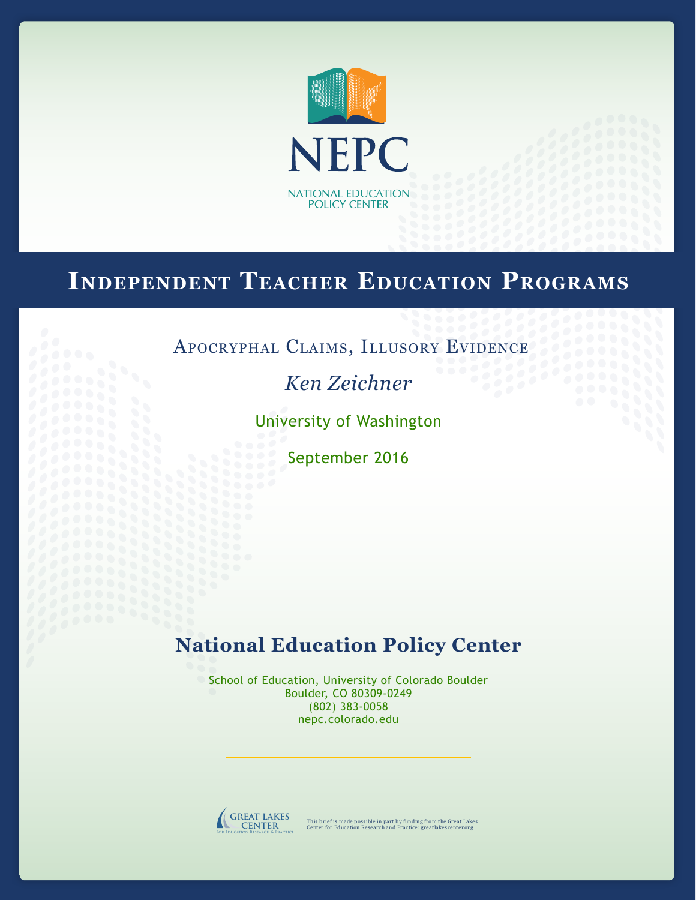

# **Independent Teacher Education Programs**

## Apocryphal Claims, Illusory Evidence

*Ken Zeichner*

University of Washington

September 2016

## **National Education Policy Center**

School of Education, University of Colorado Boulder Boulder, CO 80309-0249 (802) 383-0058 nepc.colorado.edu



This brief is made possible in part by funding from the Great Lakes Center for Education Research and Practice: greatlakescenter.org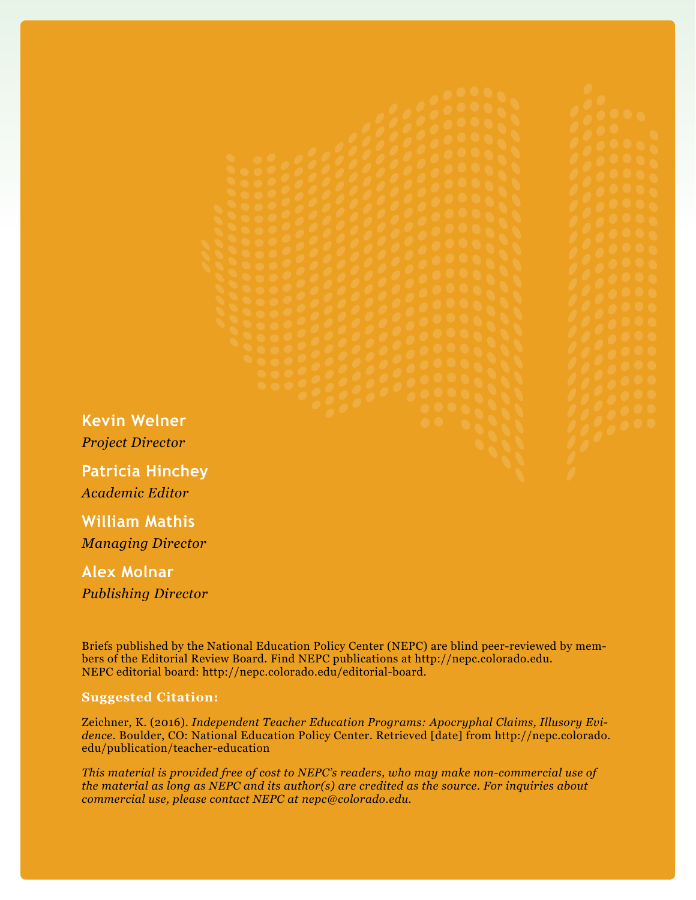**Kevin Welner** *Project Director* **Patricia Hinchey** *Academic Editor* **William Mathis**

*Managing Director*

**Alex Molnar** *Publishing Director*

Briefs published by the National Education Policy Center (NEPC) are blind peer-reviewed by members of the Editorial Review Board. Find NEPC publications at http://nepc.colorado.edu. NEPC editorial board: http://nepc.colorado.edu/editorial-board.

#### **Suggested Citation:**

Zeichner, K. (2016). *Independent Teacher Education Programs: Apocryphal Claims, Illusory Evidence*. Boulder, CO: National Education Policy Center. Retrieved [date] from http://nepc.colorado. edu/publication/teacher-education

*This material is provided free of cost to NEPC's readers, who may make non-commercial use of the material as long as NEPC and its author(s) are credited as the source. For inquiries about commercial use, please contact NEPC at nepc@colorado.edu.*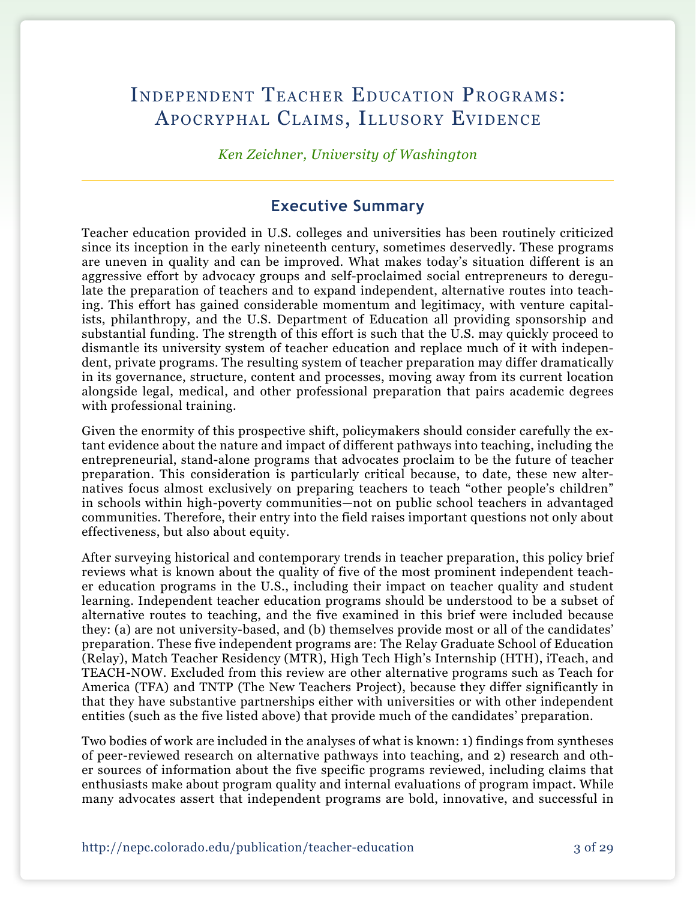## Independent Teacher Education Programs: Apocryphal Claims, Illusory Evidence

*Ken Zeichner, University of Washington*

## **Executive Summary**

Teacher education provided in U.S. colleges and universities has been routinely criticized since its inception in the early nineteenth century, sometimes deservedly. These programs are uneven in quality and can be improved. What makes today's situation different is an aggressive effort by advocacy groups and self-proclaimed social entrepreneurs to deregulate the preparation of teachers and to expand independent, alternative routes into teaching. This effort has gained considerable momentum and legitimacy, with venture capitalists, philanthropy, and the U.S. Department of Education all providing sponsorship and substantial funding. The strength of this effort is such that the U.S. may quickly proceed to dismantle its university system of teacher education and replace much of it with independent, private programs. The resulting system of teacher preparation may differ dramatically in its governance, structure, content and processes, moving away from its current location alongside legal, medical, and other professional preparation that pairs academic degrees with professional training.

Given the enormity of this prospective shift, policymakers should consider carefully the extant evidence about the nature and impact of different pathways into teaching, including the entrepreneurial, stand-alone programs that advocates proclaim to be the future of teacher preparation. This consideration is particularly critical because, to date, these new alternatives focus almost exclusively on preparing teachers to teach "other people's children" in schools within high-poverty communities—not on public school teachers in advantaged communities. Therefore, their entry into the field raises important questions not only about effectiveness, but also about equity.

After surveying historical and contemporary trends in teacher preparation, this policy brief reviews what is known about the quality of five of the most prominent independent teacher education programs in the U.S., including their impact on teacher quality and student learning. Independent teacher education programs should be understood to be a subset of alternative routes to teaching, and the five examined in this brief were included because they: (a) are not university-based, and (b) themselves provide most or all of the candidates' preparation. These five independent programs are: The Relay Graduate School of Education (Relay), Match Teacher Residency (MTR), High Tech High's Internship (HTH), iTeach, and TEACH-NOW. Excluded from this review are other alternative programs such as Teach for America (TFA) and TNTP (The New Teachers Project), because they differ significantly in that they have substantive partnerships either with universities or with other independent entities (such as the five listed above) that provide much of the candidates' preparation.

Two bodies of work are included in the analyses of what is known: 1) findings from syntheses of peer-reviewed research on alternative pathways into teaching, and 2) research and other sources of information about the five specific programs reviewed, including claims that enthusiasts make about program quality and internal evaluations of program impact. While many advocates assert that independent programs are bold, innovative, and successful in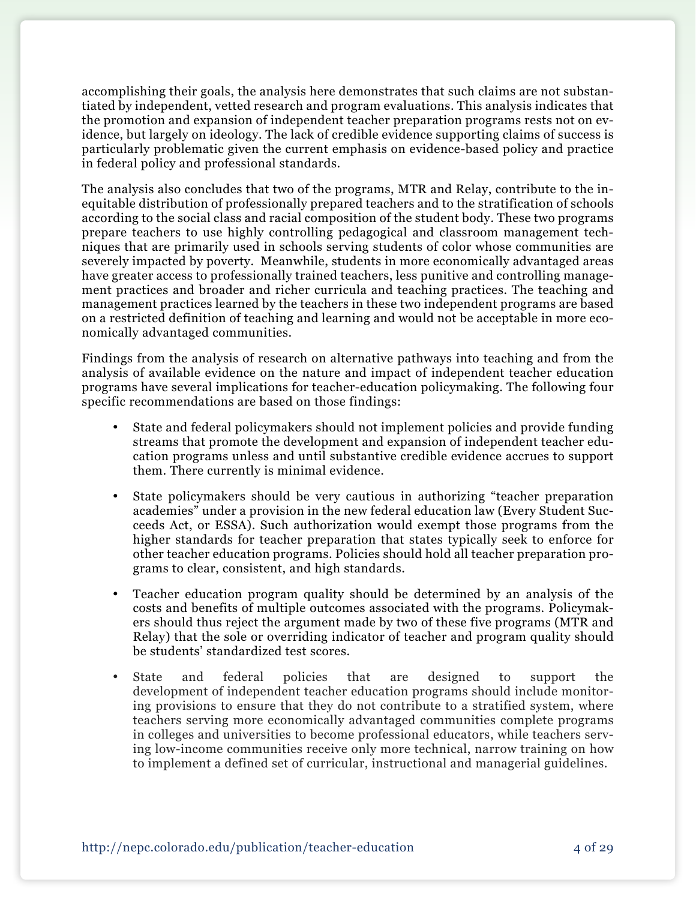accomplishing their goals, the analysis here demonstrates that such claims are not substantiated by independent, vetted research and program evaluations. This analysis indicates that the promotion and expansion of independent teacher preparation programs rests not on evidence, but largely on ideology. The lack of credible evidence supporting claims of success is particularly problematic given the current emphasis on evidence-based policy and practice in federal policy and professional standards.

The analysis also concludes that two of the programs, MTR and Relay, contribute to the inequitable distribution of professionally prepared teachers and to the stratification of schools according to the social class and racial composition of the student body. These two programs prepare teachers to use highly controlling pedagogical and classroom management techniques that are primarily used in schools serving students of color whose communities are severely impacted by poverty. Meanwhile, students in more economically advantaged areas have greater access to professionally trained teachers, less punitive and controlling management practices and broader and richer curricula and teaching practices. The teaching and management practices learned by the teachers in these two independent programs are based on a restricted definition of teaching and learning and would not be acceptable in more economically advantaged communities.

Findings from the analysis of research on alternative pathways into teaching and from the analysis of available evidence on the nature and impact of independent teacher education programs have several implications for teacher-education policymaking. The following four specific recommendations are based on those findings:

- State and federal policymakers should not implement policies and provide funding streams that promote the development and expansion of independent teacher education programs unless and until substantive credible evidence accrues to support them. There currently is minimal evidence.
- State policymakers should be very cautious in authorizing "teacher preparation" academies" under a provision in the new federal education law (Every Student Succeeds Act, or ESSA). Such authorization would exempt those programs from the higher standards for teacher preparation that states typically seek to enforce for other teacher education programs. Policies should hold all teacher preparation programs to clear, consistent, and high standards.
- Teacher education program quality should be determined by an analysis of the costs and benefits of multiple outcomes associated with the programs. Policymakers should thus reject the argument made by two of these five programs (MTR and Relay) that the sole or overriding indicator of teacher and program quality should be students' standardized test scores.
- • State and federal policies that are designed to support the development of independent teacher education programs should include monitoring provisions to ensure that they do not contribute to a stratified system, where teachers serving more economically advantaged communities complete programs in colleges and universities to become professional educators, while teachers serving low-income communities receive only more technical, narrow training on how to implement a defined set of curricular, instructional and managerial guidelines.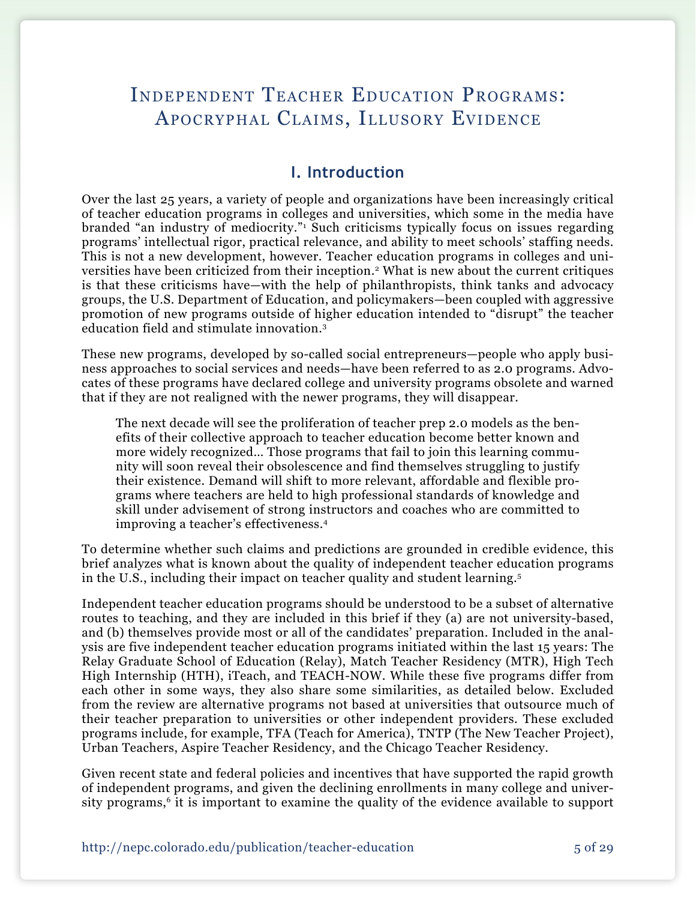## Independent Teacher Education Programs: Apocryphal Claims, Illusory Evidence

### **I. Introduction**

Over the last 25 years, a variety of people and organizations have been increasingly critical of teacher education programs in colleges and universities, which some in the media have branded "an industry of mediocrity."1 Such criticisms typically focus on issues regarding programs' intellectual rigor, practical relevance, and ability to meet schools' staffing needs. This is not a new development, however. Teacher education programs in colleges and universities have been criticized from their inception.<sup>2</sup> What is new about the current critiques is that these criticisms have—with the help of philanthropists, think tanks and advocacy groups, the U.S. Department of Education, and policymakers—been coupled with aggressive promotion of new programs outside of higher education intended to "disrupt" the teacher education field and stimulate innovation.3

These new programs, developed by so-called social entrepreneurs—people who apply business approaches to social services and needs—have been referred to as 2.0 programs. Advocates of these programs have declared college and university programs obsolete and warned that if they are not realigned with the newer programs, they will disappear.

The next decade will see the proliferation of teacher prep 2.0 models as the benefits of their collective approach to teacher education become better known and more widely recognized… Those programs that fail to join this learning community will soon reveal their obsolescence and find themselves struggling to justify their existence. Demand will shift to more relevant, affordable and flexible programs where teachers are held to high professional standards of knowledge and skill under advisement of strong instructors and coaches who are committed to improving a teacher's effectiveness.4

To determine whether such claims and predictions are grounded in credible evidence, this brief analyzes what is known about the quality of independent teacher education programs in the U.S., including their impact on teacher quality and student learning.5

Independent teacher education programs should be understood to be a subset of alternative routes to teaching, and they are included in this brief if they (a) are not university-based, and (b) themselves provide most or all of the candidates' preparation. Included in the analysis are five independent teacher education programs initiated within the last 15 years: The Relay Graduate School of Education (Relay), Match Teacher Residency (MTR), High Tech High Internship (HTH), iTeach, and TEACH-NOW. While these five programs differ from each other in some ways, they also share some similarities, as detailed below. Excluded from the review are alternative programs not based at universities that outsource much of their teacher preparation to universities or other independent providers. These excluded programs include, for example, TFA (Teach for America), TNTP (The New Teacher Project), Urban Teachers, Aspire Teacher Residency, and the Chicago Teacher Residency.

Given recent state and federal policies and incentives that have supported the rapid growth of independent programs, and given the declining enrollments in many college and university programs,<sup>6</sup> it is important to examine the quality of the evidence available to support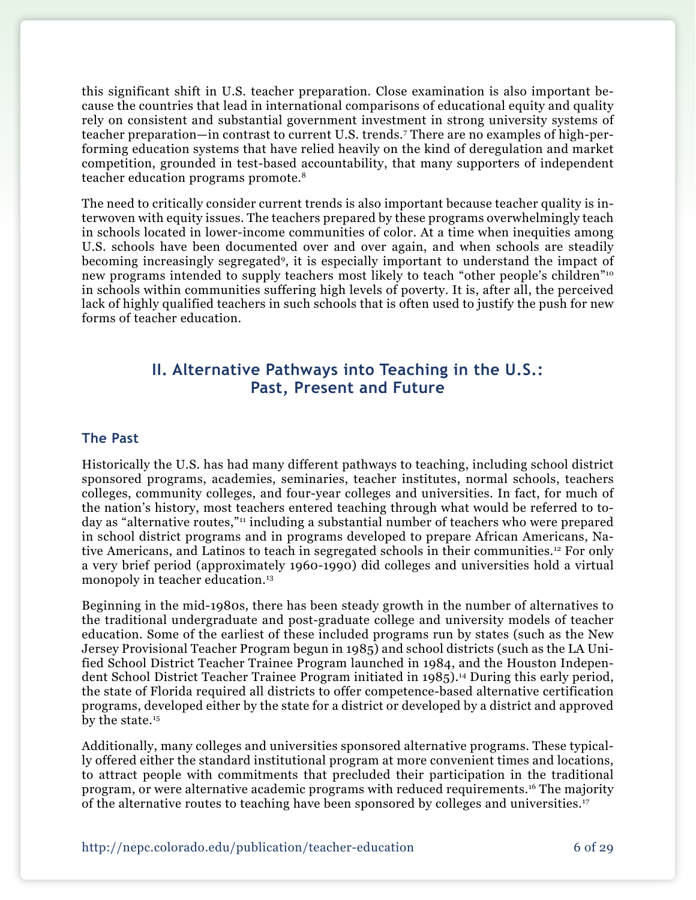this significant shift in U.S. teacher preparation. Close examination is also important because the countries that lead in international comparisons of educational equity and quality rely on consistent and substantial government investment in strong university systems of teacher preparation—in contrast to current U.S. trends.7 There are no examples of high-performing education systems that have relied heavily on the kind of deregulation and market competition, grounded in test-based accountability, that many supporters of independent teacher education programs promote.8

The need to critically consider current trends is also important because teacher quality is interwoven with equity issues. The teachers prepared by these programs overwhelmingly teach in schools located in lower-income communities of color. At a time when inequities among U.S. schools have been documented over and over again, and when schools are steadily becoming increasingly segregated9, it is especially important to understand the impact of new programs intended to supply teachers most likely to teach "other people's children"10 in schools within communities suffering high levels of poverty. It is, after all, the perceived lack of highly qualified teachers in such schools that is often used to justify the push for new forms of teacher education.

## **II. Alternative Pathways into Teaching in the U.S.: Past, Present and Future**

#### **The Past**

Historically the U.S. has had many different pathways to teaching, including school district sponsored programs, academies, seminaries, teacher institutes, normal schools, teachers colleges, community colleges, and four-year colleges and universities. In fact, for much of the nation's history, most teachers entered teaching through what would be referred to today as "alternative routes,"<sup>11</sup> including a substantial number of teachers who were prepared in school district programs and in programs developed to prepare African Americans, Native Americans, and Latinos to teach in segregated schools in their communities.12 For only a very brief period (approximately 1960-1990) did colleges and universities hold a virtual monopoly in teacher education.<sup>13</sup>

Beginning in the mid-1980s, there has been steady growth in the number of alternatives to the traditional undergraduate and post-graduate college and university models of teacher education. Some of the earliest of these included programs run by states (such as the New Jersey Provisional Teacher Program begun in 1985) and school districts (such as the LA Unified School District Teacher Trainee Program launched in 1984, and the Houston Independent School District Teacher Trainee Program initiated in 1985).<sup>14</sup> During this early period, the state of Florida required all districts to offer competence-based alternative certification programs, developed either by the state for a district or developed by a district and approved by the state.<sup>15</sup>

Additionally, many colleges and universities sponsored alternative programs. These typically offered either the standard institutional program at more convenient times and locations, to attract people with commitments that precluded their participation in the traditional program, or were alternative academic programs with reduced requirements.16 The majority of the alternative routes to teaching have been sponsored by colleges and universities.17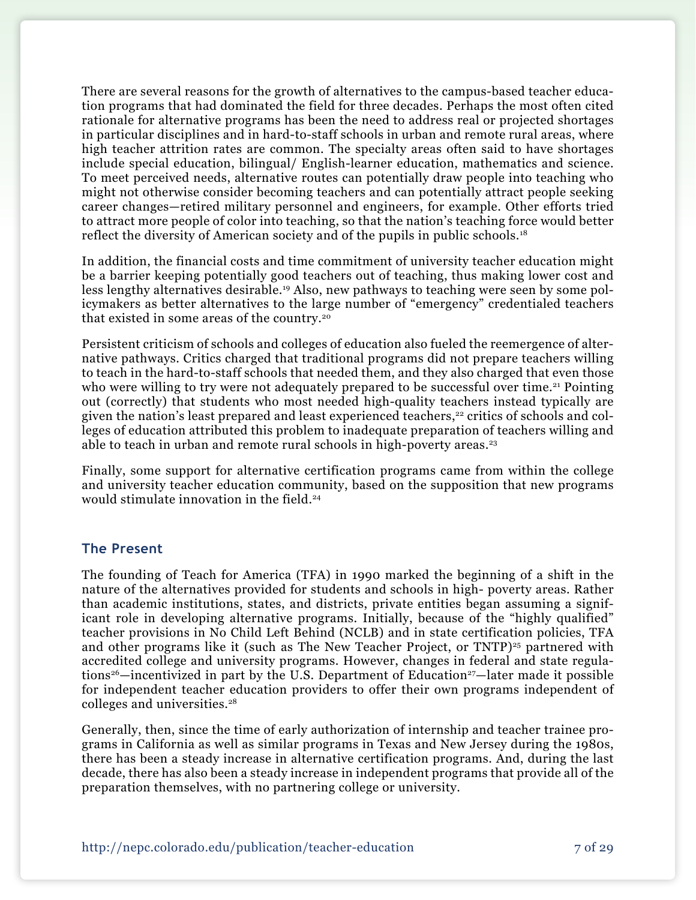There are several reasons for the growth of alternatives to the campus-based teacher education programs that had dominated the field for three decades. Perhaps the most often cited rationale for alternative programs has been the need to address real or projected shortages in particular disciplines and in hard-to-staff schools in urban and remote rural areas, where high teacher attrition rates are common. The specialty areas often said to have shortages include special education, bilingual/ English-learner education, mathematics and science. To meet perceived needs, alternative routes can potentially draw people into teaching who might not otherwise consider becoming teachers and can potentially attract people seeking career changes—retired military personnel and engineers, for example. Other efforts tried to attract more people of color into teaching, so that the nation's teaching force would better reflect the diversity of American society and of the pupils in public schools.18

In addition, the financial costs and time commitment of university teacher education might be a barrier keeping potentially good teachers out of teaching, thus making lower cost and less lengthy alternatives desirable.19 Also, new pathways to teaching were seen by some policymakers as better alternatives to the large number of "emergency" credentialed teachers that existed in some areas of the country.20

Persistent criticism of schools and colleges of education also fueled the reemergence of alternative pathways. Critics charged that traditional programs did not prepare teachers willing to teach in the hard-to-staff schools that needed them, and they also charged that even those who were willing to try were not adequately prepared to be successful over time.<sup>21</sup> Pointing out (correctly) that students who most needed high-quality teachers instead typically are given the nation's least prepared and least experienced teachers,<sup>22</sup> critics of schools and colleges of education attributed this problem to inadequate preparation of teachers willing and able to teach in urban and remote rural schools in high-poverty areas.<sup>23</sup>

Finally, some support for alternative certification programs came from within the college and university teacher education community, based on the supposition that new programs would stimulate innovation in the field.<sup>24</sup>

#### **The Present**

The founding of Teach for America (TFA) in 1990 marked the beginning of a shift in the nature of the alternatives provided for students and schools in high- poverty areas. Rather than academic institutions, states, and districts, private entities began assuming a significant role in developing alternative programs. Initially, because of the "highly qualified" teacher provisions in No Child Left Behind (NCLB) and in state certification policies, TFA and other programs like it (such as The New Teacher Project, or  $TNTP$ )<sup>25</sup> partnered with accredited college and university programs. However, changes in federal and state regulations<sup>26</sup>—incentivized in part by the U.S. Department of Education<sup>27</sup>—later made it possible for independent teacher education providers to offer their own programs independent of colleges and universities.28

Generally, then, since the time of early authorization of internship and teacher trainee programs in California as well as similar programs in Texas and New Jersey during the 1980s, there has been a steady increase in alternative certification programs. And, during the last decade, there has also been a steady increase in independent programs that provide all of the preparation themselves, with no partnering college or university.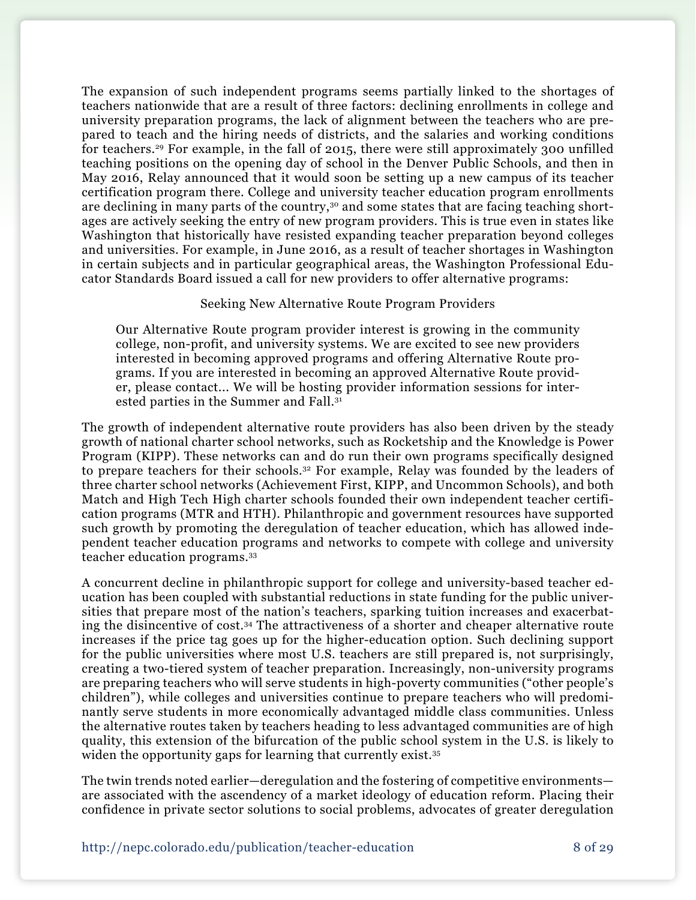The expansion of such independent programs seems partially linked to the shortages of teachers nationwide that are a result of three factors: declining enrollments in college and university preparation programs, the lack of alignment between the teachers who are prepared to teach and the hiring needs of districts, and the salaries and working conditions for teachers.29 For example, in the fall of 2015, there were still approximately 300 unfilled teaching positions on the opening day of school in the Denver Public Schools, and then in May 2016, Relay announced that it would soon be setting up a new campus of its teacher certification program there. College and university teacher education program enrollments are declining in many parts of the country,<sup>30</sup> and some states that are facing teaching shortages are actively seeking the entry of new program providers. This is true even in states like Washington that historically have resisted expanding teacher preparation beyond colleges and universities. For example, in June 2016, as a result of teacher shortages in Washington in certain subjects and in particular geographical areas, the Washington Professional Educator Standards Board issued a call for new providers to offer alternative programs:

#### Seeking New Alternative Route Program Providers

Our Alternative Route program provider interest is growing in the community college, non-profit, and university systems. We are excited to see new providers interested in becoming approved programs and offering Alternative Route programs. If you are interested in becoming an approved Alternative Route provider, please contact... We will be hosting provider information sessions for interested parties in the Summer and Fall.31

The growth of independent alternative route providers has also been driven by the steady growth of national charter school networks, such as Rocketship and the Knowledge is Power Program (KIPP). These networks can and do run their own programs specifically designed to prepare teachers for their schools.32 For example, Relay was founded by the leaders of three charter school networks (Achievement First, KIPP, and Uncommon Schools), and both Match and High Tech High charter schools founded their own independent teacher certification programs (MTR and HTH). Philanthropic and government resources have supported such growth by promoting the deregulation of teacher education, which has allowed independent teacher education programs and networks to compete with college and university teacher education programs.33

A concurrent decline in philanthropic support for college and university-based teacher education has been coupled with substantial reductions in state funding for the public universities that prepare most of the nation's teachers, sparking tuition increases and exacerbating the disincentive of cost.34 The attractiveness of a shorter and cheaper alternative route increases if the price tag goes up for the higher-education option. Such declining support for the public universities where most U.S. teachers are still prepared is, not surprisingly, creating a two-tiered system of teacher preparation. Increasingly, non-university programs are preparing teachers who will serve students in high-poverty communities ("other people's children"), while colleges and universities continue to prepare teachers who will predominantly serve students in more economically advantaged middle class communities. Unless the alternative routes taken by teachers heading to less advantaged communities are of high quality, this extension of the bifurcation of the public school system in the U.S. is likely to widen the opportunity gaps for learning that currently exist.<sup>35</sup>

The twin trends noted earlier—deregulation and the fostering of competitive environments are associated with the ascendency of a market ideology of education reform. Placing their confidence in private sector solutions to social problems, advocates of greater deregulation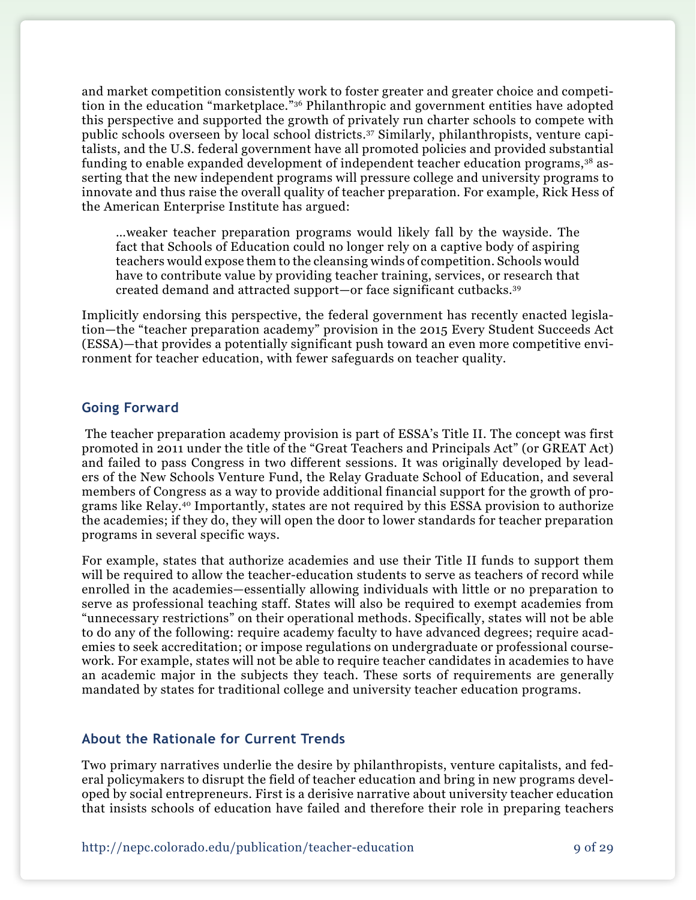and market competition consistently work to foster greater and greater choice and competition in the education "marketplace."36 Philanthropic and government entities have adopted this perspective and supported the growth of privately run charter schools to compete with public schools overseen by local school districts.37 Similarly, philanthropists, venture capitalists, and the U.S. federal government have all promoted policies and provided substantial funding to enable expanded development of independent teacher education programs,38 asserting that the new independent programs will pressure college and university programs to innovate and thus raise the overall quality of teacher preparation. For example, Rick Hess of the American Enterprise Institute has argued:

…weaker teacher preparation programs would likely fall by the wayside. The fact that Schools of Education could no longer rely on a captive body of aspiring teachers would expose them to the cleansing winds of competition. Schools would have to contribute value by providing teacher training, services, or research that created demand and attracted support—or face significant cutbacks.39

Implicitly endorsing this perspective, the federal government has recently enacted legislation—the "teacher preparation academy" provision in the 2015 Every Student Succeeds Act (ESSA)—that provides a potentially significant push toward an even more competitive environment for teacher education, with fewer safeguards on teacher quality.

#### **Going Forward**

 The teacher preparation academy provision is part of ESSA's Title II. The concept was first promoted in 2011 under the title of the "Great Teachers and Principals Act" (or GREAT Act) and failed to pass Congress in two different sessions. It was originally developed by leaders of the New Schools Venture Fund, the Relay Graduate School of Education, and several members of Congress as a way to provide additional financial support for the growth of programs like Relay.40 Importantly, states are not required by this ESSA provision to authorize the academies; if they do, they will open the door to lower standards for teacher preparation programs in several specific ways.

For example, states that authorize academies and use their Title II funds to support them will be required to allow the teacher-education students to serve as teachers of record while enrolled in the academies—essentially allowing individuals with little or no preparation to serve as professional teaching staff. States will also be required to exempt academies from "unnecessary restrictions" on their operational methods. Specifically, states will not be able to do any of the following: require academy faculty to have advanced degrees; require academies to seek accreditation; or impose regulations on undergraduate or professional coursework. For example, states will not be able to require teacher candidates in academies to have an academic major in the subjects they teach. These sorts of requirements are generally mandated by states for traditional college and university teacher education programs.

#### **About the Rationale for Current Trends**

Two primary narratives underlie the desire by philanthropists, venture capitalists, and federal policymakers to disrupt the field of teacher education and bring in new programs developed by social entrepreneurs. First is a derisive narrative about university teacher education that insists schools of education have failed and therefore their role in preparing teachers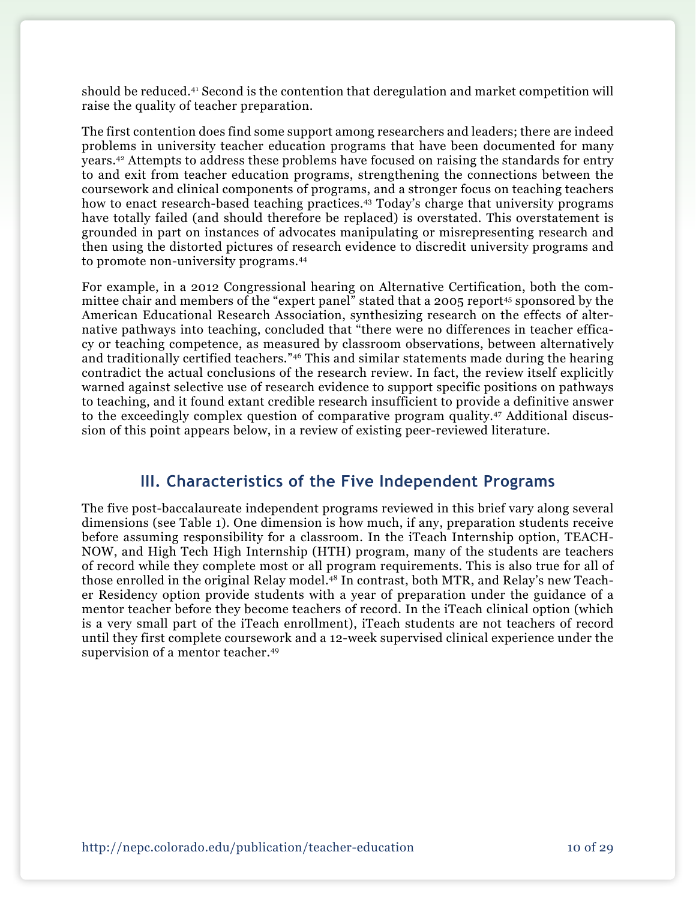should be reduced.41 Second is the contention that deregulation and market competition will raise the quality of teacher preparation.

The first contention does find some support among researchers and leaders; there are indeed problems in university teacher education programs that have been documented for many years.42 Attempts to address these problems have focused on raising the standards for entry to and exit from teacher education programs, strengthening the connections between the coursework and clinical components of programs, and a stronger focus on teaching teachers how to enact research-based teaching practices.<sup>43</sup> Today's charge that university programs have totally failed (and should therefore be replaced) is overstated. This overstatement is grounded in part on instances of advocates manipulating or misrepresenting research and then using the distorted pictures of research evidence to discredit university programs and to promote non-university programs.44

For example, in a 2012 Congressional hearing on Alternative Certification, both the committee chair and members of the "expert panel" stated that a 2005 report<sup>45</sup> sponsored by the American Educational Research Association, synthesizing research on the effects of alternative pathways into teaching, concluded that "there were no differences in teacher efficacy or teaching competence, as measured by classroom observations, between alternatively and traditionally certified teachers."46 This and similar statements made during the hearing contradict the actual conclusions of the research review. In fact, the review itself explicitly warned against selective use of research evidence to support specific positions on pathways to teaching, and it found extant credible research insufficient to provide a definitive answer to the exceedingly complex question of comparative program quality.47 Additional discussion of this point appears below, in a review of existing peer-reviewed literature.

### **III. Characteristics of the Five Independent Programs**

The five post-baccalaureate independent programs reviewed in this brief vary along several dimensions (see Table 1). One dimension is how much, if any, preparation students receive before assuming responsibility for a classroom. In the iTeach Internship option, TEACH-NOW, and High Tech High Internship (HTH) program, many of the students are teachers of record while they complete most or all program requirements. This is also true for all of those enrolled in the original Relay model.<sup>48</sup> In contrast, both MTR, and Relay's new Teacher Residency option provide students with a year of preparation under the guidance of a mentor teacher before they become teachers of record. In the iTeach clinical option (which is a very small part of the iTeach enrollment), iTeach students are not teachers of record until they first complete coursework and a 12-week supervised clinical experience under the supervision of a mentor teacher.<sup>49</sup>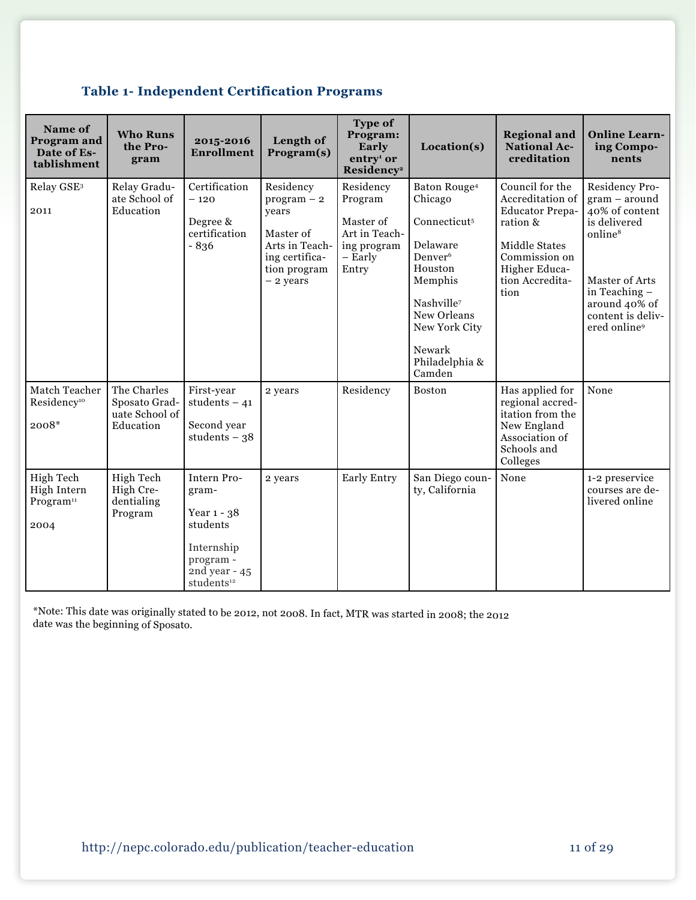|  | <b>Table 1- Independent Certification Programs</b> |  |  |
|--|----------------------------------------------------|--|--|
|--|----------------------------------------------------|--|--|

| Name of<br>Program and<br>Date of Es-<br>tablishment      | <b>Who Runs</b><br>the Pro-<br>gram                         | 2015-2016<br><b>Enrollment</b>                                                                                          | Length of<br>Program(s)                                                                                            | Type of<br>Program:<br>Early<br>entry <sup>1</sup> or<br>Residency <sup>2</sup>       | Location(s)                                                                                                                                                                                                              | <b>Regional and</b><br><b>National Ac-</b><br>creditation                                                                                               | <b>Online Learn-</b><br>ing Compo-<br>nents                                                                                                                                                     |
|-----------------------------------------------------------|-------------------------------------------------------------|-------------------------------------------------------------------------------------------------------------------------|--------------------------------------------------------------------------------------------------------------------|---------------------------------------------------------------------------------------|--------------------------------------------------------------------------------------------------------------------------------------------------------------------------------------------------------------------------|---------------------------------------------------------------------------------------------------------------------------------------------------------|-------------------------------------------------------------------------------------------------------------------------------------------------------------------------------------------------|
| Relay GSE <sup>3</sup><br>2011                            | Relay Gradu-<br>ate School of<br>Education                  | Certification<br>$-120$<br>Degree &<br>certification<br>$-836$                                                          | Residency<br>$program - 2$<br>years<br>Master of<br>Arts in Teach-<br>ing certifica-<br>tion program<br>$-2$ years | Residency<br>Program<br>Master of<br>Art in Teach-<br>ing program<br>- Early<br>Entry | Baton Rouge <sup>4</sup><br>Chicago<br>Connecticut <sup>5</sup><br>Delaware<br>Denver <sup>6</sup><br>Houston<br>Memphis<br>Nashville <sup>7</sup><br>New Orleans<br>New York City<br>Newark<br>Philadelphia &<br>Camden | Council for the<br>Accreditation of<br><b>Educator Prepa-</b><br>ration &<br>Middle States<br>Commission on<br>Higher Educa-<br>tion Accredita-<br>tion | Residency Pro-<br>$gram - around$<br>40% of content<br>is delivered<br>online <sup>8</sup><br>Master of Arts<br>in Teaching -<br>around 40% of<br>content is deliv-<br>ered online <sup>9</sup> |
| Match Teacher<br>Residency <sup>10</sup><br>2008*         | The Charles<br>Sposato Grad-<br>uate School of<br>Education | First-year<br>students $-41$<br>Second year<br>students $-38$                                                           | 2 years                                                                                                            | Residency                                                                             | <b>Boston</b>                                                                                                                                                                                                            | Has applied for<br>regional accred-<br>itation from the<br>New England<br>Association of<br>Schools and<br>Colleges                                     | None                                                                                                                                                                                            |
| High Tech<br>High Intern<br>Program <sup>11</sup><br>2004 | High Tech<br>High Cre-<br>dentialing<br>Program             | Intern Pro-<br>gram-<br>Year 1 - 38<br>students<br>Internship<br>program -<br>2nd year - $45$<br>students <sup>12</sup> | 2 years                                                                                                            | <b>Early Entry</b>                                                                    | San Diego coun-<br>ty, California                                                                                                                                                                                        | None                                                                                                                                                    | 1-2 preservice<br>courses are de-<br>livered online                                                                                                                                             |

\*Note: This date was originally stated to be 2012, not 2008. In fact, MTR was started in 2008; the 2012 date was the beginning of Sposato.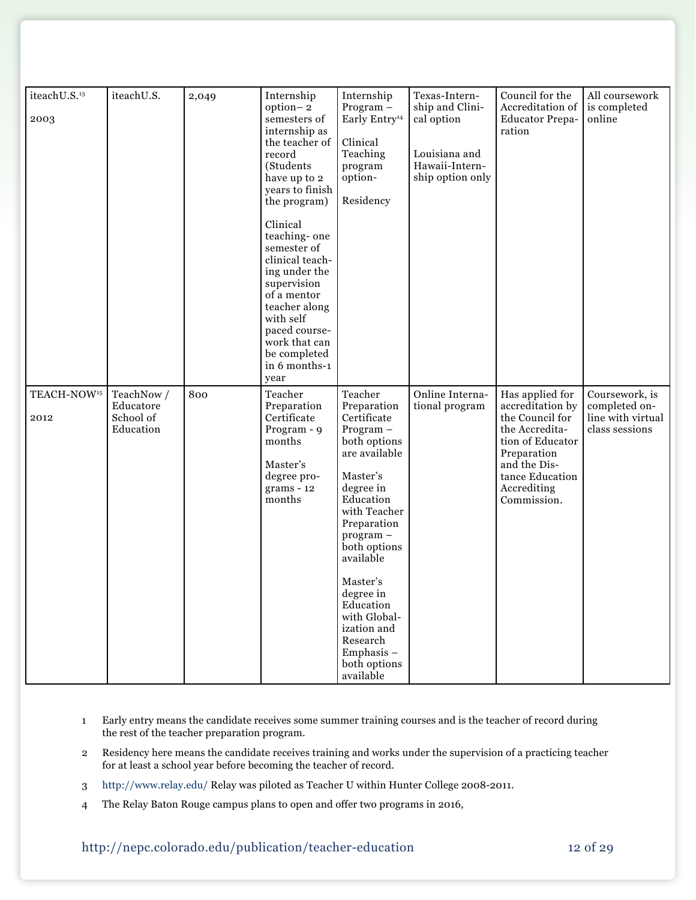| iteachU.S.13<br>2003            | iteachU.S.                                        | 2,049 | Internship<br>option-2<br>semesters of<br>internship as<br>the teacher of<br>record<br>(Students<br>have up to 2<br>years to finish<br>the program)<br>Clinical<br>teaching-one<br>semester of<br>clinical teach-<br>ing under the<br>supervision<br>of a mentor<br>teacher along<br>with self<br>paced course-<br>work that can<br>be completed<br>in 6 months-1<br>year | Internship<br>$Program -$<br>Early Entry <sup>14</sup><br>Clinical<br>Teaching<br>program<br>option-<br>Residency                                                                                                                                                                                                              | Texas-Intern-<br>ship and Clini-<br>cal option<br>Louisiana and<br>Hawaii-Intern-<br>ship option only | Council for the<br>Accreditation of<br><b>Educator Prepa-</b><br>ration                                                                                                      | All coursework<br>is completed<br>online                               |
|---------------------------------|---------------------------------------------------|-------|---------------------------------------------------------------------------------------------------------------------------------------------------------------------------------------------------------------------------------------------------------------------------------------------------------------------------------------------------------------------------|--------------------------------------------------------------------------------------------------------------------------------------------------------------------------------------------------------------------------------------------------------------------------------------------------------------------------------|-------------------------------------------------------------------------------------------------------|------------------------------------------------------------------------------------------------------------------------------------------------------------------------------|------------------------------------------------------------------------|
| TEACH-NOW <sup>15</sup><br>2012 | TeachNow /<br>Educatore<br>School of<br>Education | 800   | Teacher<br>Preparation<br>Certificate<br>Program - 9<br>months<br>Master's<br>degree pro-<br>$grams - 12$<br>months                                                                                                                                                                                                                                                       | Teacher<br>Preparation<br>Certificate<br>Program-<br>both options<br>are available<br>Master's<br>degree in<br>Education<br>with Teacher<br>Preparation<br>program-<br>both options<br>available<br>Master's<br>degree in<br>Education<br>with Global-<br>ization and<br>Research<br>Emphasis $-$<br>both options<br>available | Online Interna-<br>tional program                                                                     | Has applied for<br>accreditation by<br>the Council for<br>the Accredita-<br>tion of Educator<br>Preparation<br>and the Dis-<br>tance Education<br>Accrediting<br>Commission. | Coursework, is<br>completed on-<br>line with virtual<br>class sessions |

- 1 Early entry means the candidate receives some summer training courses and is the teacher of record during the rest of the teacher preparation program.
- 2 Residency here means the candidate receives training and works under the supervision of a practicing teacher for at least a school year before becoming the teacher of record.
- 3 <http://www.relay.edu/> Relay was piloted as Teacher U within Hunter College 2008-2011.
- 4 The Relay Baton Rouge campus plans to open and offer two programs in 2016,

### http://nepc.colorado.edu/publication/teacher-education 12 of 29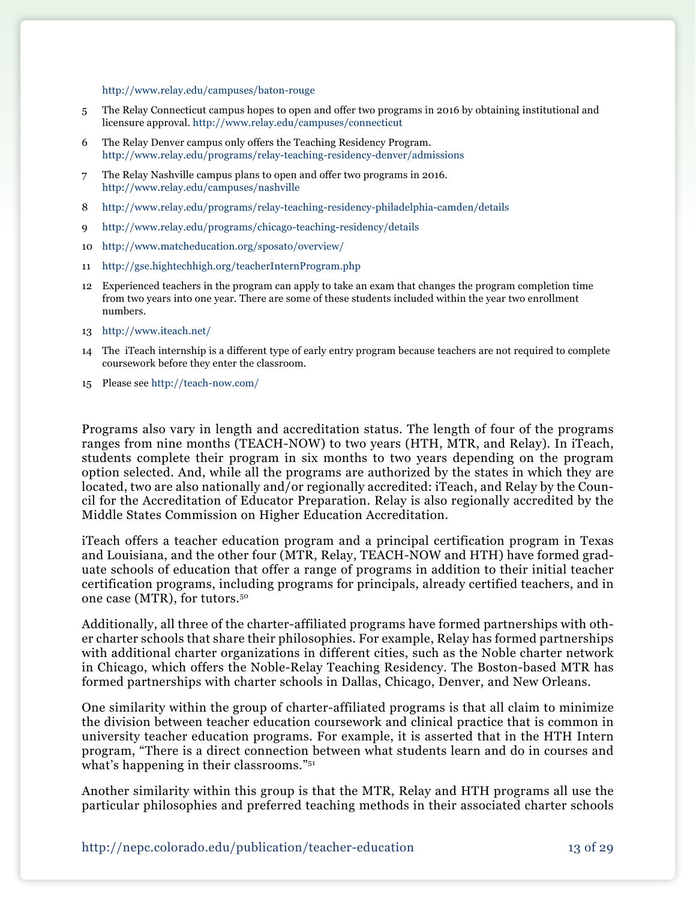<http://www.relay.edu/campuses/baton-rouge>

- 5 The Relay Connecticut campus hopes to open and offer two programs in 2016 by obtaining institutional and licensure approval. <http://www.relay.edu/campuses/connecticut>
- 6 The Relay Denver campus only offers the Teaching Residency Program. <http://www.relay.edu/programs/relay-teaching-residency-denver/admissions>
- 7 The Relay Nashville campus plans to open and offer two programs in 2016. <http://www.relay.edu/campuses/nashville>
- 8 <http://www.relay.edu/programs/relay-teaching-residency-philadelphia-camden/details>
- 9 <http://www.relay.edu/programs/chicago-teaching-residency/details>
- 10 <http://www.matcheducation.org/sposato/overview/>
- 11 <http://gse.hightechhigh.org/teacherInternProgram.php>
- 12 Experienced teachers in the program can apply to take an exam that changes the program completion time from two years into one year. There are some of these students included within the year two enrollment numbers.
- 13 <http://www.iteach.net/>
- 14 The iTeach internship is a different type of early entry program because teachers are not required to complete coursework before they enter the classroom.
- 15 Please see<http://teach-now.com/>

Programs also vary in length and accreditation status. The length of four of the programs ranges from nine months (TEACH-NOW) to two years (HTH, MTR, and Relay). In iTeach, students complete their program in six months to two years depending on the program option selected. And, while all the programs are authorized by the states in which they are located, two are also nationally and/or regionally accredited: iTeach, and Relay by the Council for the Accreditation of Educator Preparation. Relay is also regionally accredited by the Middle States Commission on Higher Education Accreditation.

iTeach offers a teacher education program and a principal certification program in Texas and Louisiana, and the other four (MTR, Relay, TEACH-NOW and HTH) have formed graduate schools of education that offer a range of programs in addition to their initial teacher certification programs, including programs for principals, already certified teachers, and in one case (MTR), for tutors.50

Additionally, all three of the charter-affiliated programs have formed partnerships with other charter schools that share their philosophies. For example, Relay has formed partnerships with additional charter organizations in different cities, such as the Noble charter network in Chicago, which offers the Noble-Relay Teaching Residency. The Boston-based MTR has formed partnerships with charter schools in Dallas, Chicago, Denver, and New Orleans.

One similarity within the group of charter-affiliated programs is that all claim to minimize the division between teacher education coursework and clinical practice that is common in university teacher education programs. For example, it is asserted that in the HTH Intern program, "There is a direct connection between what students learn and do in courses and what's happening in their classrooms."<sup>51</sup>

Another similarity within this group is that the MTR, Relay and HTH programs all use the particular philosophies and preferred teaching methods in their associated charter schools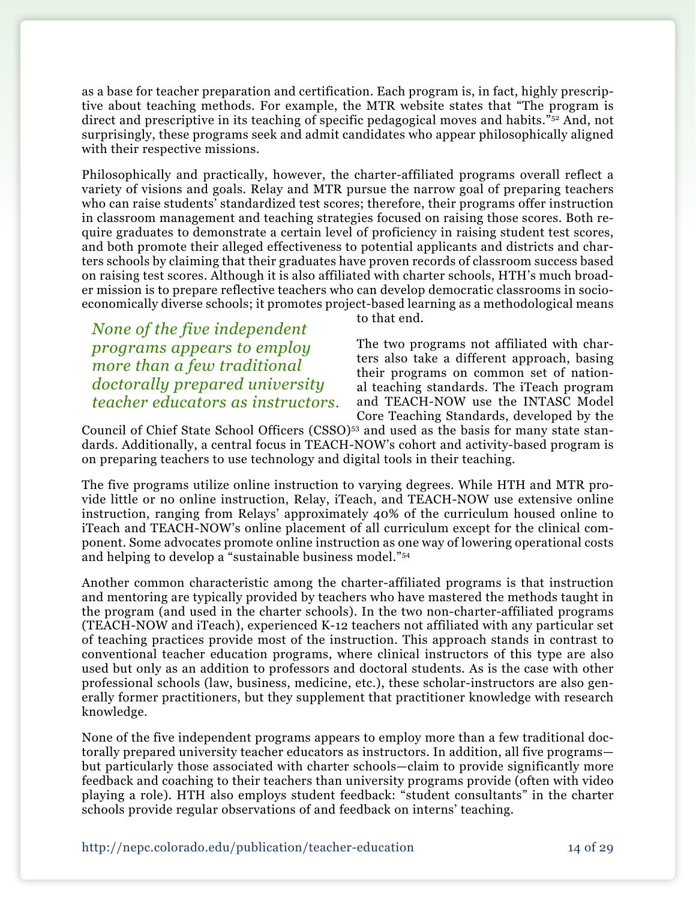as a base for teacher preparation and certification. Each program is, in fact, highly prescriptive about teaching methods. For example, the MTR website states that "The program is direct and prescriptive in its teaching of specific pedagogical moves and habits.<sup>"52</sup> And, not surprisingly, these programs seek and admit candidates who appear philosophically aligned with their respective missions.

Philosophically and practically, however, the charter-affiliated programs overall reflect a variety of visions and goals. Relay and MTR pursue the narrow goal of preparing teachers who can raise students' standardized test scores; therefore, their programs offer instruction in classroom management and teaching strategies focused on raising those scores. Both require graduates to demonstrate a certain level of proficiency in raising student test scores, and both promote their alleged effectiveness to potential applicants and districts and charters schools by claiming that their graduates have proven records of classroom success based on raising test scores. Although it is also affiliated with charter schools, HTH's much broader mission is to prepare reflective teachers who can develop democratic classrooms in socioeconomically diverse schools; it promotes project-based learning as a methodological means

*None of the five independent programs appears to employ more than a few traditional doctorally prepared university teacher educators as instructors.* to that end.

The two programs not affiliated with charters also take a different approach, basing their programs on common set of national teaching standards. The iTeach program and TEACH-NOW use the INTASC Model Core Teaching Standards, developed by the

Council of Chief State School Officers  $(CSSO)^{53}$  and used as the basis for many state standards. Additionally, a central focus in TEACH-NOW's cohort and activity-based program is on preparing teachers to use technology and digital tools in their teaching.

The five programs utilize online instruction to varying degrees. While HTH and MTR provide little or no online instruction, Relay, iTeach, and TEACH-NOW use extensive online instruction, ranging from Relays' approximately 40% of the curriculum housed online to iTeach and TEACH-NOW's online placement of all curriculum except for the clinical component. Some advocates promote online instruction as one way of lowering operational costs and helping to develop a "sustainable business model."54

Another common characteristic among the charter-affiliated programs is that instruction and mentoring are typically provided by teachers who have mastered the methods taught in the program (and used in the charter schools). In the two non-charter-affiliated programs (TEACH-NOW and iTeach), experienced K-12 teachers not affiliated with any particular set of teaching practices provide most of the instruction. This approach stands in contrast to conventional teacher education programs, where clinical instructors of this type are also used but only as an addition to professors and doctoral students. As is the case with other professional schools (law, business, medicine, etc.), these scholar-instructors are also generally former practitioners, but they supplement that practitioner knowledge with research knowledge.

None of the five independent programs appears to employ more than a few traditional doctorally prepared university teacher educators as instructors. In addition, all five programs but particularly those associated with charter schools—claim to provide significantly more feedback and coaching to their teachers than university programs provide (often with video playing a role). HTH also employs student feedback: "student consultants" in the charter schools provide regular observations of and feedback on interns' teaching.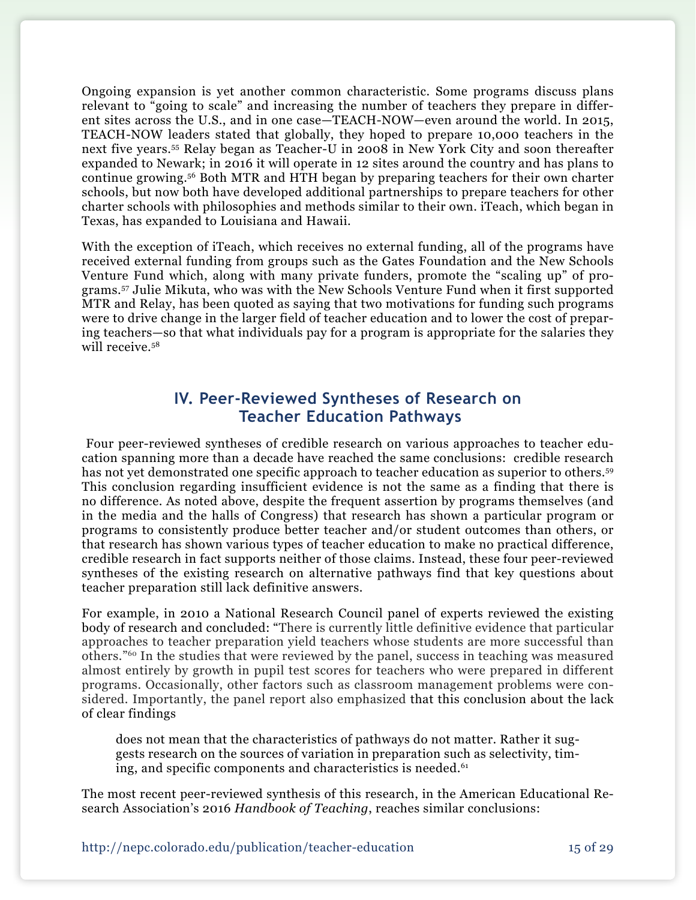Ongoing expansion is yet another common characteristic. Some programs discuss plans relevant to "going to scale" and increasing the number of teachers they prepare in different sites across the U.S., and in one case—TEACH-NOW—even around the world. In 2015, TEACH-NOW leaders stated that globally, they hoped to prepare 10,000 teachers in the next five years.55 Relay began as Teacher-U in 2008 in New York City and soon thereafter expanded to Newark; in 2016 it will operate in 12 sites around the country and has plans to continue growing.56 Both MTR and HTH began by preparing teachers for their own charter schools, but now both have developed additional partnerships to prepare teachers for other charter schools with philosophies and methods similar to their own. iTeach, which began in Texas, has expanded to Louisiana and Hawaii.

With the exception of iTeach, which receives no external funding, all of the programs have received external funding from groups such as the Gates Foundation and the New Schools Venture Fund which, along with many private funders, promote the "scaling up" of programs.57 Julie Mikuta, who was with the New Schools Venture Fund when it first supported MTR and Relay, has been quoted as saying that two motivations for funding such programs were to drive change in the larger field of teacher education and to lower the cost of preparing teachers—so that what individuals pay for a program is appropriate for the salaries they will receive.<sup>58</sup>

## **IV. Peer-Reviewed Syntheses of Research on Teacher Education Pathways**

 Four peer-reviewed syntheses of credible research on various approaches to teacher education spanning more than a decade have reached the same conclusions: credible research has not yet demonstrated one specific approach to teacher education as superior to others.<sup>59</sup> This conclusion regarding insufficient evidence is not the same as a finding that there is no difference. As noted above, despite the frequent assertion by programs themselves (and in the media and the halls of Congress) that research has shown a particular program or programs to consistently produce better teacher and/or student outcomes than others, or that research has shown various types of teacher education to make no practical difference, credible research in fact supports neither of those claims. Instead, these four peer-reviewed syntheses of the existing research on alternative pathways find that key questions about teacher preparation still lack definitive answers.

For example, in 2010 a National Research Council panel of experts reviewed the existing body of research and concluded: "There is currently little definitive evidence that particular approaches to teacher preparation yield teachers whose students are more successful than others."60 In the studies that were reviewed by the panel, success in teaching was measured almost entirely by growth in pupil test scores for teachers who were prepared in different programs. Occasionally, other factors such as classroom management problems were considered. Importantly, the panel report also emphasized that this conclusion about the lack of clear findings

does not mean that the characteristics of pathways do not matter. Rather it suggests research on the sources of variation in preparation such as selectivity, timing, and specific components and characteristics is needed.<sup>61</sup>

The most recent peer-reviewed synthesis of this research, in the American Educational Research Association's 2016 *Handbook of Teaching*, reaches similar conclusions: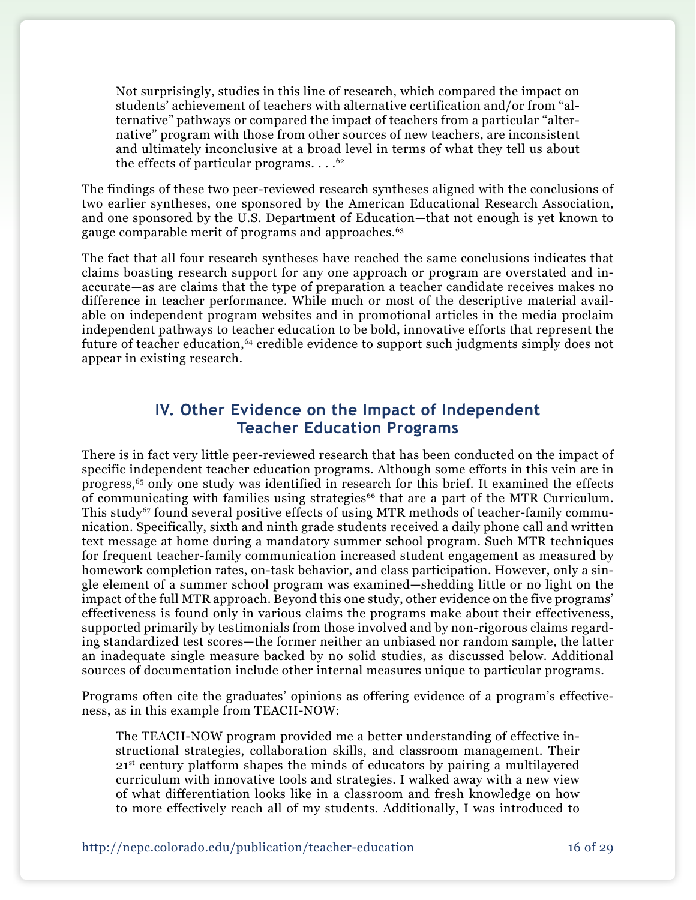Not surprisingly, studies in this line of research, which compared the impact on students' achievement of teachers with alternative certification and/or from "alternative" pathways or compared the impact of teachers from a particular "alternative" program with those from other sources of new teachers, are inconsistent and ultimately inconclusive at a broad level in terms of what they tell us about the effects of particular programs.  $\dots$ <sup>62</sup>

The findings of these two peer-reviewed research syntheses aligned with the conclusions of two earlier syntheses, one sponsored by the American Educational Research Association, and one sponsored by the U.S. Department of Education—that not enough is yet known to gauge comparable merit of programs and approaches.<sup>63</sup>

The fact that all four research syntheses have reached the same conclusions indicates that claims boasting research support for any one approach or program are overstated and inaccurate—as are claims that the type of preparation a teacher candidate receives makes no difference in teacher performance. While much or most of the descriptive material available on independent program websites and in promotional articles in the media proclaim independent pathways to teacher education to be bold, innovative efforts that represent the future of teacher education,<sup>64</sup> credible evidence to support such judgments simply does not appear in existing research.

## **IV. Other Evidence on the Impact of Independent Teacher Education Programs**

There is in fact very little peer-reviewed research that has been conducted on the impact of specific independent teacher education programs. Although some efforts in this vein are in progress,65 only one study was identified in research for this brief. It examined the effects of communicating with families using strategies<sup>66</sup> that are a part of the MTR Curriculum. This study<sup>67</sup> found several positive effects of using MTR methods of teacher-family communication. Specifically, sixth and ninth grade students received a daily phone call and written text message at home during a mandatory summer school program. Such MTR techniques for frequent teacher-family communication increased student engagement as measured by homework completion rates, on-task behavior, and class participation. However, only a single element of a summer school program was examined—shedding little or no light on the impact of the full MTR approach. Beyond this one study, other evidence on the five programs' effectiveness is found only in various claims the programs make about their effectiveness, supported primarily by testimonials from those involved and by non-rigorous claims regarding standardized test scores—the former neither an unbiased nor random sample, the latter an inadequate single measure backed by no solid studies, as discussed below. Additional sources of documentation include other internal measures unique to particular programs.

Programs often cite the graduates' opinions as offering evidence of a program's effectiveness, as in this example from TEACH-NOW:

The TEACH-NOW program provided me a better understanding of effective instructional strategies, collaboration skills, and classroom management. Their 21<sup>st</sup> century platform shapes the minds of educators by pairing a multilayered curriculum with innovative tools and strategies. I walked away with a new view of what differentiation looks like in a classroom and fresh knowledge on how to more effectively reach all of my students. Additionally, I was introduced to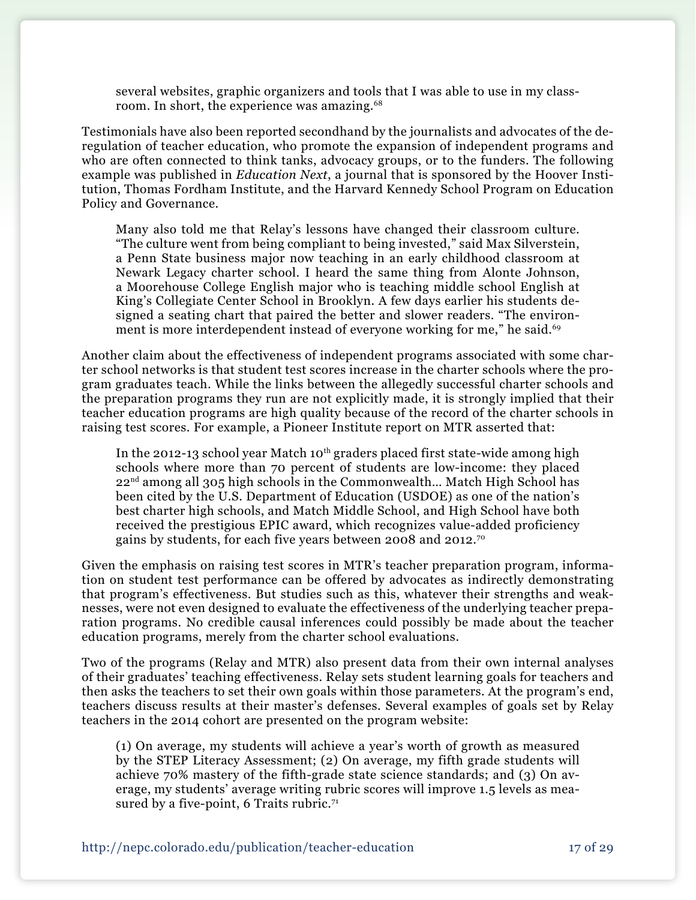several websites, graphic organizers and tools that I was able to use in my classroom. In short, the experience was amazing.<sup>68</sup>

Testimonials have also been reported secondhand by the journalists and advocates of the deregulation of teacher education, who promote the expansion of independent programs and who are often connected to think tanks, advocacy groups, or to the funders. The following example was published in *Education Next*, a journal that is sponsored by the Hoover Institution, Thomas Fordham Institute, and the Harvard Kennedy School Program on Education Policy and Governance.

Many also told me that Relay's lessons have changed their classroom culture. "The culture went from being compliant to being invested," said Max Silverstein, a Penn State business major now teaching in an early childhood classroom at Newark Legacy charter school. I heard the same thing from Alonte Johnson, a Moorehouse College English major who is teaching middle school English at King's Collegiate Center School in Brooklyn. A few days earlier his students designed a seating chart that paired the better and slower readers. "The environment is more interdependent instead of everyone working for me," he said.<sup>69</sup>

Another claim about the effectiveness of independent programs associated with some charter school networks is that student test scores increase in the charter schools where the program graduates teach. While the links between the allegedly successful charter schools and the preparation programs they run are not explicitly made, it is strongly implied that their teacher education programs are high quality because of the record of the charter schools in raising test scores. For example, a Pioneer Institute report on MTR asserted that:

In the 2012-13 school year Match 10<sup>th</sup> graders placed first state-wide among high schools where more than 70 percent of students are low-income: they placed 22<sup>nd</sup> among all 305 high schools in the Commonwealth... Match High School has been cited by the U.S. Department of Education (USDOE) as one of the nation's best charter high schools, and Match Middle School, and High School have both received the prestigious EPIC award, which recognizes value-added proficiency gains by students, for each five years between 2008 and 2012.70

Given the emphasis on raising test scores in MTR's teacher preparation program, information on student test performance can be offered by advocates as indirectly demonstrating that program's effectiveness. But studies such as this, whatever their strengths and weaknesses, were not even designed to evaluate the effectiveness of the underlying teacher preparation programs. No credible causal inferences could possibly be made about the teacher education programs, merely from the charter school evaluations.

Two of the programs (Relay and MTR) also present data from their own internal analyses of their graduates' teaching effectiveness. Relay sets student learning goals for teachers and then asks the teachers to set their own goals within those parameters. At the program's end, teachers discuss results at their master's defenses. Several examples of goals set by Relay teachers in the 2014 cohort are presented on the program website:

(1) On average, my students will achieve a year's worth of growth as measured by the STEP Literacy Assessment; (2) On average, my fifth grade students will achieve 70% mastery of the fifth-grade state science standards; and (3) On average, my students' average writing rubric scores will improve 1.5 levels as measured by a five-point, 6 Traits rubric.<sup>71</sup>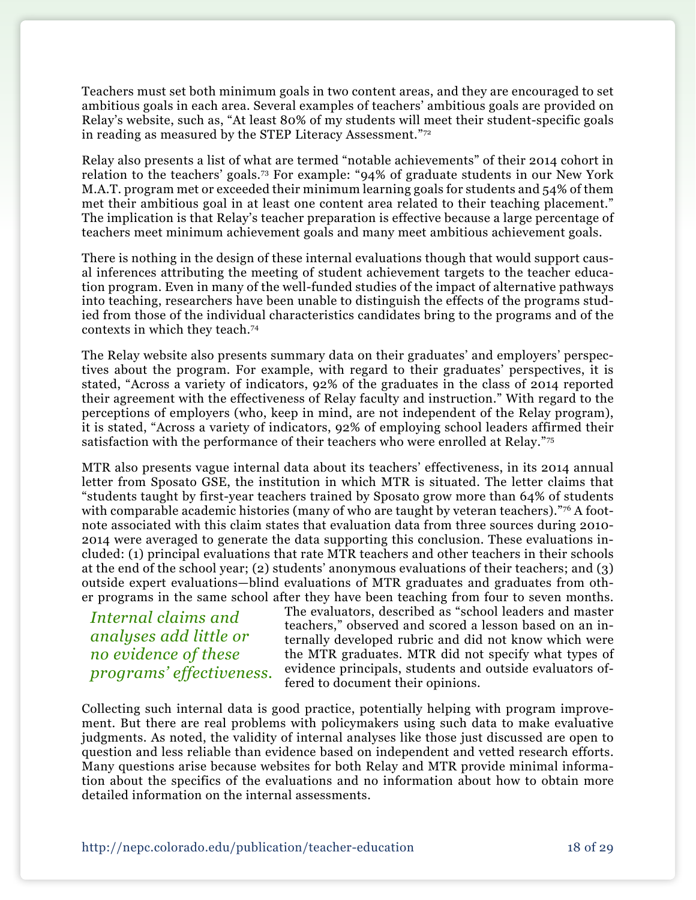Teachers must set both minimum goals in two content areas, and they are encouraged to set ambitious goals in each area. Several examples of teachers' ambitious goals are provided on Relay's website, such as, "At least 80% of my students will meet their student-specific goals in reading as measured by the STEP Literacy Assessment."72

Relay also presents a list of what are termed "notable achievements" of their 2014 cohort in relation to the teachers' goals.73 For example: "94% of graduate students in our New York M.A.T. program met or exceeded their minimum learning goals for students and 54% of them met their ambitious goal in at least one content area related to their teaching placement." The implication is that Relay's teacher preparation is effective because a large percentage of teachers meet minimum achievement goals and many meet ambitious achievement goals.

There is nothing in the design of these internal evaluations though that would support causal inferences attributing the meeting of student achievement targets to the teacher education program. Even in many of the well-funded studies of the impact of alternative pathways into teaching, researchers have been unable to distinguish the effects of the programs studied from those of the individual characteristics candidates bring to the programs and of the contexts in which they teach.74

The Relay website also presents summary data on their graduates' and employers' perspectives about the program. For example, with regard to their graduates' perspectives, it is stated, "Across a variety of indicators, 92% of the graduates in the class of 2014 reported their agreement with the effectiveness of Relay faculty and instruction." With regard to the perceptions of employers (who, keep in mind, are not independent of the Relay program), it is stated, "Across a variety of indicators, 92% of employing school leaders affirmed their satisfaction with the performance of their teachers who were enrolled at Relay."75

MTR also presents vague internal data about its teachers' effectiveness, in its 2014 annual letter from Sposato GSE, the institution in which MTR is situated. The letter claims that "students taught by first-year teachers trained by Sposato grow more than 64% of students with comparable academic histories (many of who are taught by veteran teachers)."<sup>76</sup> A footnote associated with this claim states that evaluation data from three sources during 2010- 2014 were averaged to generate the data supporting this conclusion. These evaluations included: (1) principal evaluations that rate MTR teachers and other teachers in their schools at the end of the school year; (2) students' anonymous evaluations of their teachers; and (3) outside expert evaluations—blind evaluations of MTR graduates and graduates from other programs in the same school after they have been teaching from four to seven months.

*Internal claims and analyses add little or no evidence of these programs' effectiveness.* The evaluators, described as "school leaders and master teachers," observed and scored a lesson based on an internally developed rubric and did not know which were the MTR graduates. MTR did not specify what types of evidence principals, students and outside evaluators offered to document their opinions.

Collecting such internal data is good practice, potentially helping with program improvement. But there are real problems with policymakers using such data to make evaluative judgments. As noted, the validity of internal analyses like those just discussed are open to question and less reliable than evidence based on independent and vetted research efforts. Many questions arise because websites for both Relay and MTR provide minimal information about the specifics of the evaluations and no information about how to obtain more detailed information on the internal assessments.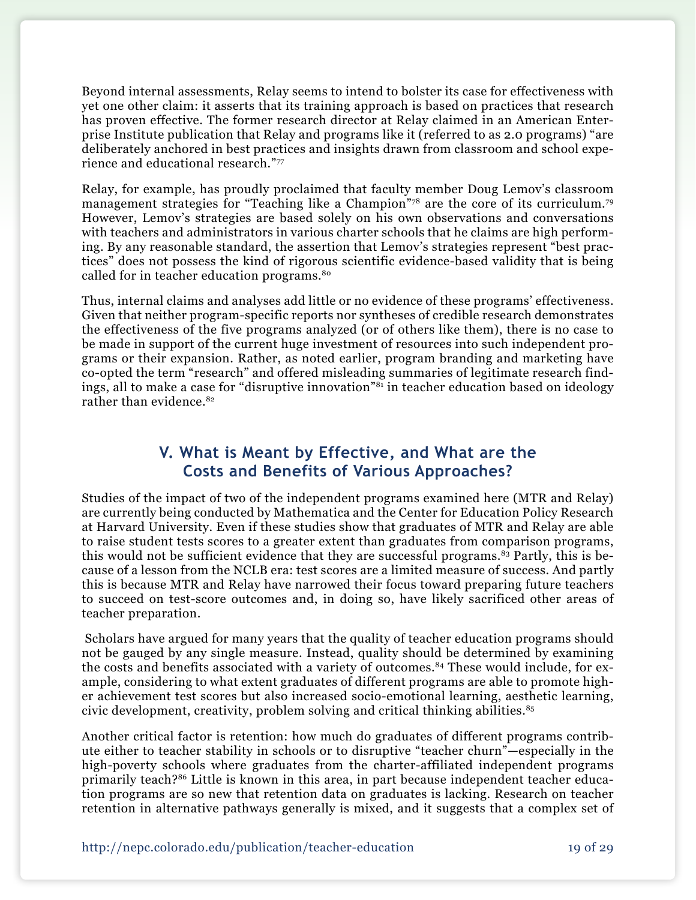Beyond internal assessments, Relay seems to intend to bolster its case for effectiveness with yet one other claim: it asserts that its training approach is based on practices that research has proven effective. The former research director at Relay claimed in an American Enterprise Institute publication that Relay and programs like it (referred to as 2.0 programs) "are deliberately anchored in best practices and insights drawn from classroom and school experience and educational research."77

Relay, for example, has proudly proclaimed that faculty member Doug Lemov's classroom management strategies for "Teaching like a Champion"78 are the core of its curriculum.79 However, Lemov's strategies are based solely on his own observations and conversations with teachers and administrators in various charter schools that he claims are high performing. By any reasonable standard, the assertion that Lemov's strategies represent "best practices" does not possess the kind of rigorous scientific evidence-based validity that is being called for in teacher education programs.<sup>80</sup>

Thus, internal claims and analyses add little or no evidence of these programs' effectiveness. Given that neither program-specific reports nor syntheses of credible research demonstrates the effectiveness of the five programs analyzed (or of others like them), there is no case to be made in support of the current huge investment of resources into such independent programs or their expansion. Rather, as noted earlier, program branding and marketing have co-opted the term "research" and offered misleading summaries of legitimate research findings, all to make a case for "disruptive innovation"81 in teacher education based on ideology rather than evidence.<sup>82</sup>

## **V. What is Meant by Effective, and What are the Costs and Benefits of Various Approaches?**

Studies of the impact of two of the independent programs examined here (MTR and Relay) are currently being conducted by Mathematica and the Center for Education Policy Research at Harvard University. Even if these studies show that graduates of MTR and Relay are able to raise student tests scores to a greater extent than graduates from comparison programs, this would not be sufficient evidence that they are successful programs.<sup>83</sup> Partly, this is because of a lesson from the NCLB era: test scores are a limited measure of success. And partly this is because MTR and Relay have narrowed their focus toward preparing future teachers to succeed on test-score outcomes and, in doing so, have likely sacrificed other areas of teacher preparation.

 Scholars have argued for many years that the quality of teacher education programs should not be gauged by any single measure. Instead, quality should be determined by examining the costs and benefits associated with a variety of outcomes.<sup>84</sup> These would include, for example, considering to what extent graduates of different programs are able to promote higher achievement test scores but also increased socio-emotional learning, aesthetic learning, civic development, creativity, problem solving and critical thinking abilities. $85$ 

Another critical factor is retention: how much do graduates of different programs contribute either to teacher stability in schools or to disruptive "teacher churn"—especially in the high-poverty schools where graduates from the charter-affiliated independent programs primarily teach?86 Little is known in this area, in part because independent teacher education programs are so new that retention data on graduates is lacking. Research on teacher retention in alternative pathways generally is mixed, and it suggests that a complex set of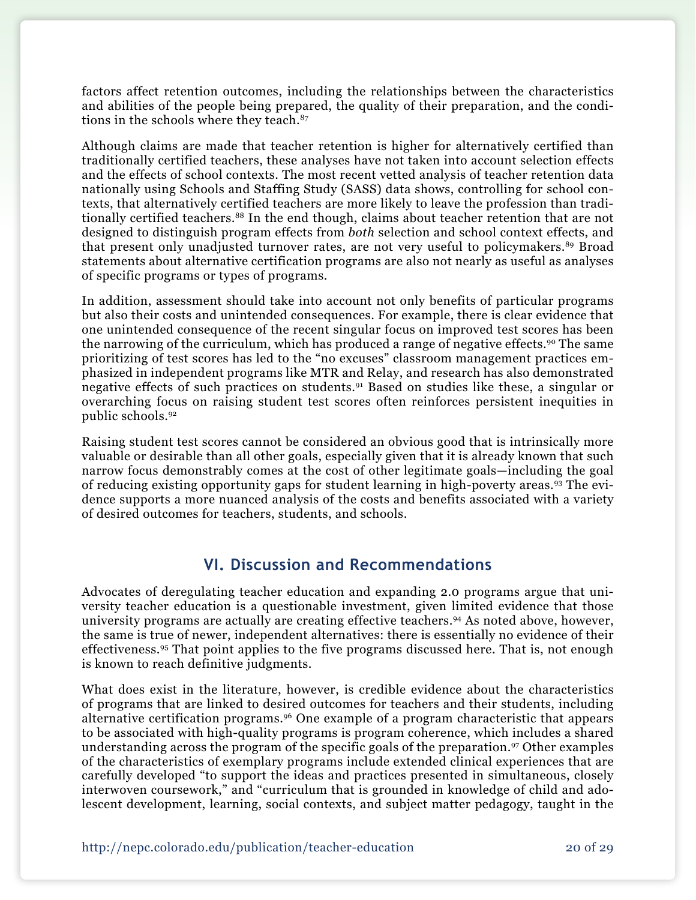factors affect retention outcomes, including the relationships between the characteristics and abilities of the people being prepared, the quality of their preparation, and the conditions in the schools where they teach.<sup>87</sup>

Although claims are made that teacher retention is higher for alternatively certified than traditionally certified teachers, these analyses have not taken into account selection effects and the effects of school contexts. The most recent vetted analysis of teacher retention data nationally using Schools and Staffing Study (SASS) data shows, controlling for school contexts, that alternatively certified teachers are more likely to leave the profession than traditionally certified teachers.<sup>88</sup> In the end though, claims about teacher retention that are not designed to distinguish program effects from *both* selection and school context effects, and that present only unadjusted turnover rates, are not very useful to policymakers.<sup>89</sup> Broad statements about alternative certification programs are also not nearly as useful as analyses of specific programs or types of programs.

In addition, assessment should take into account not only benefits of particular programs but also their costs and unintended consequences. For example, there is clear evidence that one unintended consequence of the recent singular focus on improved test scores has been the narrowing of the curriculum, which has produced a range of negative effects.<sup>90</sup> The same prioritizing of test scores has led to the "no excuses" classroom management practices emphasized in independent programs like MTR and Relay, and research has also demonstrated negative effects of such practices on students.91 Based on studies like these, a singular or overarching focus on raising student test scores often reinforces persistent inequities in public schools.92

Raising student test scores cannot be considered an obvious good that is intrinsically more valuable or desirable than all other goals, especially given that it is already known that such narrow focus demonstrably comes at the cost of other legitimate goals—including the goal of reducing existing opportunity gaps for student learning in high-poverty areas.93 The evidence supports a more nuanced analysis of the costs and benefits associated with a variety of desired outcomes for teachers, students, and schools.

### **VI. Discussion and Recommendations**

Advocates of deregulating teacher education and expanding 2.0 programs argue that university teacher education is a questionable investment, given limited evidence that those university programs are actually are creating effective teachers.94 As noted above, however, the same is true of newer, independent alternatives: there is essentially no evidence of their effectiveness.95 That point applies to the five programs discussed here. That is, not enough is known to reach definitive judgments.

What does exist in the literature, however, is credible evidence about the characteristics of programs that are linked to desired outcomes for teachers and their students, including alternative certification programs.96 One example of a program characteristic that appears to be associated with high-quality programs is program coherence, which includes a shared understanding across the program of the specific goals of the preparation.<sup>97</sup> Other examples of the characteristics of exemplary programs include extended clinical experiences that are carefully developed "to support the ideas and practices presented in simultaneous, closely interwoven coursework," and "curriculum that is grounded in knowledge of child and adolescent development, learning, social contexts, and subject matter pedagogy, taught in the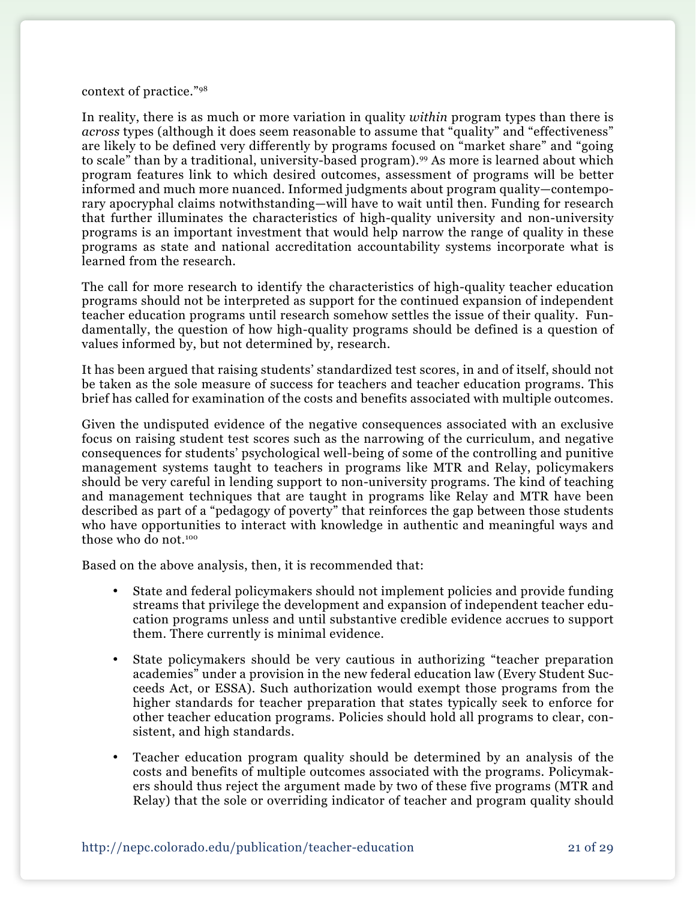#### context of practice."98

In reality, there is as much or more variation in quality *within* program types than there is *across* types (although it does seem reasonable to assume that "quality" and "effectiveness" are likely to be defined very differently by programs focused on "market share" and "going to scale" than by a traditional, university-based program).99 As more is learned about which program features link to which desired outcomes, assessment of programs will be better informed and much more nuanced. Informed judgments about program quality—contemporary apocryphal claims notwithstanding—will have to wait until then. Funding for research that further illuminates the characteristics of high-quality university and non-university programs is an important investment that would help narrow the range of quality in these programs as state and national accreditation accountability systems incorporate what is learned from the research.

The call for more research to identify the characteristics of high-quality teacher education programs should not be interpreted as support for the continued expansion of independent teacher education programs until research somehow settles the issue of their quality. Fundamentally, the question of how high-quality programs should be defined is a question of values informed by, but not determined by, research.

It has been argued that raising students' standardized test scores, in and of itself, should not be taken as the sole measure of success for teachers and teacher education programs. This brief has called for examination of the costs and benefits associated with multiple outcomes.

Given the undisputed evidence of the negative consequences associated with an exclusive focus on raising student test scores such as the narrowing of the curriculum, and negative consequences for students' psychological well-being of some of the controlling and punitive management systems taught to teachers in programs like MTR and Relay, policymakers should be very careful in lending support to non-university programs. The kind of teaching and management techniques that are taught in programs like Relay and MTR have been described as part of a "pedagogy of poverty" that reinforces the gap between those students who have opportunities to interact with knowledge in authentic and meaningful ways and those who do not.<sup>100</sup>

Based on the above analysis, then, it is recommended that:

- • State and federal policymakers should not implement policies and provide funding streams that privilege the development and expansion of independent teacher education programs unless and until substantive credible evidence accrues to support them. There currently is minimal evidence.
- State policymakers should be very cautious in authorizing "teacher preparation" academies" under a provision in the new federal education law (Every Student Succeeds Act, or ESSA). Such authorization would exempt those programs from the higher standards for teacher preparation that states typically seek to enforce for other teacher education programs. Policies should hold all programs to clear, consistent, and high standards.
- Teacher education program quality should be determined by an analysis of the costs and benefits of multiple outcomes associated with the programs. Policymakers should thus reject the argument made by two of these five programs (MTR and Relay) that the sole or overriding indicator of teacher and program quality should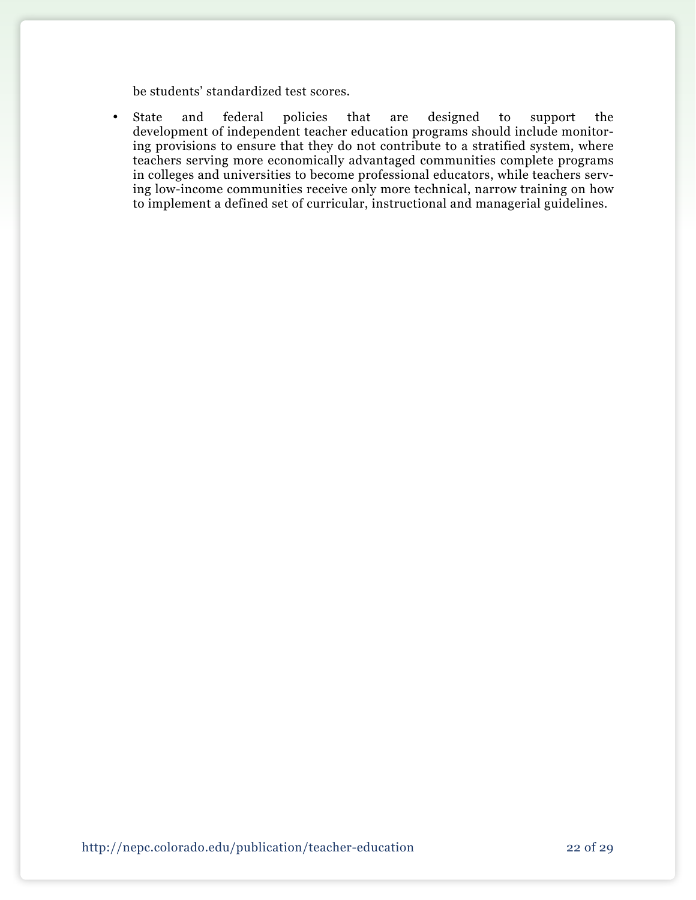be students' standardized test scores.

• State and federal policies that are designed to support the development of independent teacher education programs should include monitoring provisions to ensure that they do not contribute to a stratified system, where teachers serving more economically advantaged communities complete programs in colleges and universities to become professional educators, while teachers serving low-income communities receive only more technical, narrow training on how to implement a defined set of curricular, instructional and managerial guidelines.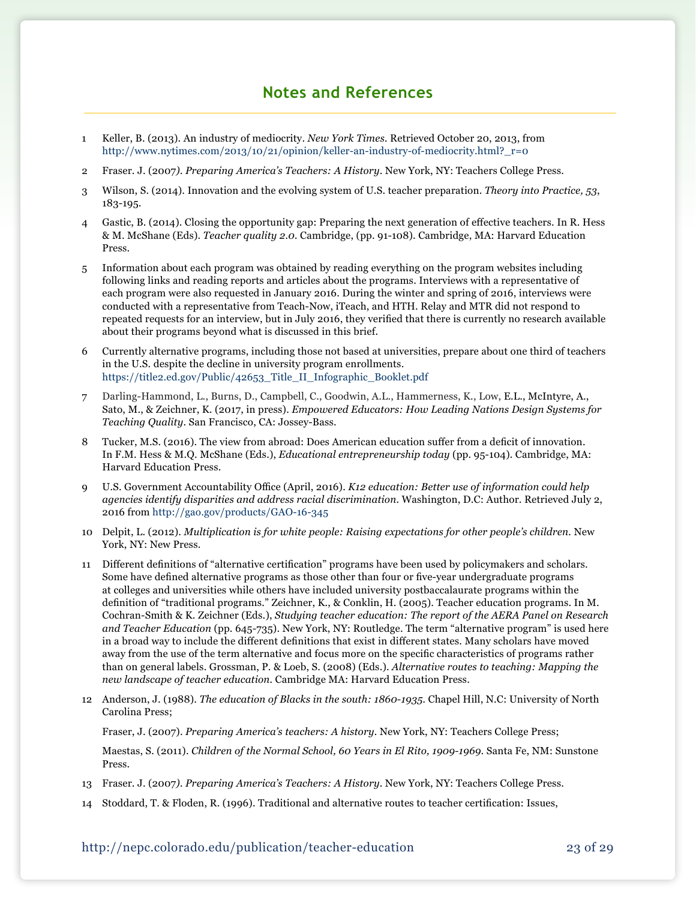## **Notes and References**

- 1 Keller, B. (2013). An industry of mediocrity. *New York Times.* Retrieved October 20, 2013, from [http://www.nytimes.com/2013/10/21/opinion/keller-an-industry-of-mediocrity.html?\\_r=0](http://www.nytimes.com/2013/10/21/opinion/keller-an-industry-of-mediocrity.html?_r=0)
- 2 Fraser. J. (2007*). Preparing America's Teachers: A History*. New York, NY: Teachers College Press.
- 3 Wilson, S. (2014). Innovation and the evolving system of U.S. teacher preparation. *Theory into Practice, 53*, 183-195.
- 4 Gastic, B. (2014). Closing the opportunity gap: Preparing the next generation of effective teachers. In R. Hess & M. McShane (Eds). *Teacher quality 2.0.* Cambridge, (pp. 91-108). Cambridge, MA: Harvard Education Press.
- 5 Information about each program was obtained by reading everything on the program websites including following links and reading reports and articles about the programs. Interviews with a representative of each program were also requested in January 2016. During the winter and spring of 2016, interviews were conducted with a representative from Teach-Now, iTeach, and HTH. Relay and MTR did not respond to repeated requests for an interview, but in July 2016, they verified that there is currently no research available about their programs beyond what is discussed in this brief.
- 6 Currently alternative programs, including those not based at universities, prepare about one third of teachers in the U.S. despite the decline in university program enrollments. [https://title2.ed.gov/Public/42653\\_Title\\_II\\_Infographic\\_Booklet.pdf](https://title2.ed.gov/Public/42653_Title_II_Infographic_Booklet.pdf)
- 7 Darling-Hammond, L., Burns, D., Campbell, C., Goodwin, A.L., Hammerness, K., Low, E.L., McIntyre, A., Sato, M., & Zeichner, K. (2017, in press). *Empowered Educators: How Leading Nations Design Systems for Teaching Quality*. San Francisco, CA: Jossey-Bass.
- Tucker, M.S. (2016). The view from abroad: Does American education suffer from a deficit of innovation. In F.M. Hess & M.Q. McShane (Eds.), *Educational entrepreneurship today* (pp. 95-104)*.* Cambridge, MA: Harvard Education Press.
- 9 U.S. Government Accountability Office (April, 2016). *K12 education: Better use of information could help agencies identify disparities and address racial discrimination.* Washington, D.C: Author. Retrieved July 2, 2016 from<http://gao.gov/products/GAO-16-345>
- 10 Delpit, L. (2012). *Multiplication is for white people: Raising expectations for other people's children.* New York, NY: New Press.
- 11 Different definitions of "alternative certification" programs have been used by policymakers and scholars. Some have defined alternative programs as those other than four or five-year undergraduate programs at colleges and universities while others have included university postbaccalaurate programs within the definition of "traditional programs." Zeichner, K., & Conklin, H. (2005). Teacher education programs. In M. Cochran-Smith & K. Zeichner (Eds.), *Studying teacher education: The report of the AERA Panel on Research and Teacher Education* (pp. 645-735). New York, NY: Routledge. The term "alternative program" is used here in a broad way to include the different definitions that exist in different states. Many scholars have moved away from the use of the term alternative and focus more on the specific characteristics of programs rather than on general labels. Grossman, P. & Loeb, S. (2008) (Eds.). *Alternative routes to teaching: Mapping the new landscape of teacher education.* Cambridge MA: Harvard Education Press.
- 12 Anderson, J. (1988). *The education of Blacks in the south: 1860-1935.* Chapel Hill, N.C: University of North Carolina Press;

Fraser, J. (2007). *Preparing America's teachers: A history.* New York, NY: Teachers College Press;

Maestas, S. (2011). *Children of the Normal School, 60 Years in El Rito, 1909-1969*. Santa Fe, NM: Sunstone Press.

- 13 Fraser. J. (2007*). Preparing America's Teachers: A History*. New York, NY: Teachers College Press.
- 14 Stoddard, T. & Floden, R. (1996). Traditional and alternative routes to teacher certification: Issues,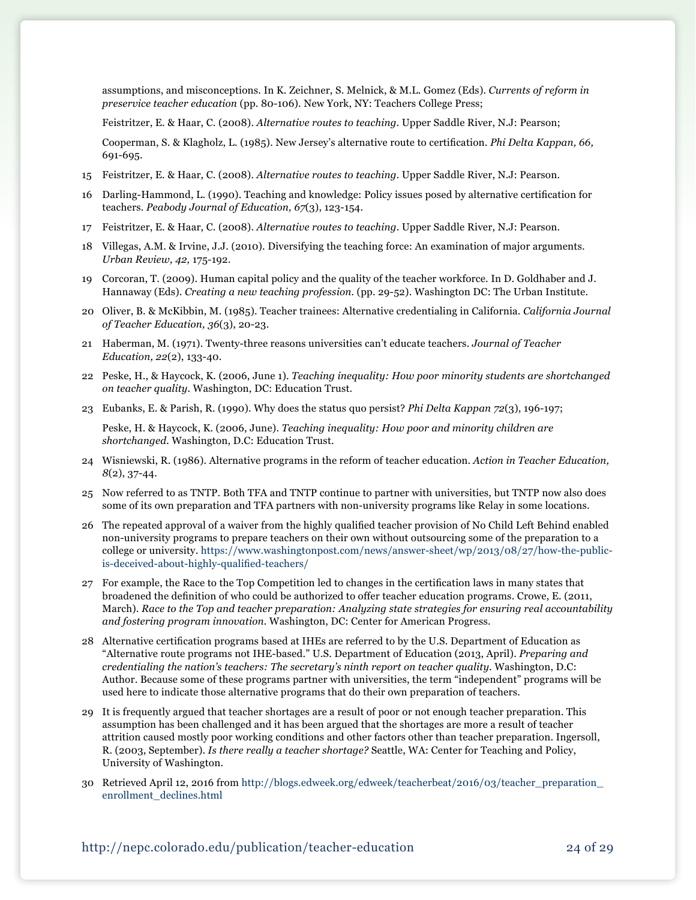assumptions, and misconceptions. In K. Zeichner, S. Melnick, & M.L. Gomez (Eds). *Currents of reform in preservice teacher education* (pp. 80-106). New York, NY: Teachers College Press;

Feistritzer, E. & Haar, C. (2008). *Alternative routes to teaching.* Upper Saddle River, N.J: Pearson;

 Cooperman, S. & Klagholz, L. (1985). New Jersey's alternative route to certification. *Phi Delta Kappan, 66,* 691-695.

- 15 Feistritzer, E. & Haar, C. (2008). *Alternative routes to teaching.* Upper Saddle River, N.J: Pearson.
- 16 Darling-Hammond, L. (1990). Teaching and knowledge: Policy issues posed by alternative certification for teachers. *Peabody Journal of Education, 67*(3), 123-154.
- 17 Feistritzer, E. & Haar, C. (2008). *Alternative routes to teaching.* Upper Saddle River, N.J: Pearson.
- 18 Villegas, A.M. & Irvine, J.J. (2010). Diversifying the teaching force: An examination of major arguments. *Urban Review, 42,* 175-192.
- 19 Corcoran, T. (2009). Human capital policy and the quality of the teacher workforce. In D. Goldhaber and J. Hannaway (Eds). *Creating a new teaching profession.* (pp. 29-52). Washington DC: The Urban Institute.
- 20 Oliver, B. & McKibbin, M. (1985). Teacher trainees: Alternative credentialing in California. *California Journal of Teacher Education, 36*(3), 20-23.
- 21 Haberman, M. (1971). Twenty-three reasons universities can't educate teachers. *Journal of Teacher Education, 22*(2), 133-40.
- 22 Peske, H., & Haycock, K. (2006, June 1). *Teaching inequality: How poor minority students are shortchanged on teacher quality*. Washington, DC: Education Trust.
- 23 Eubanks, E. & Parish, R. (1990). Why does the status quo persist? *Phi Delta Kappan 72*(3), 196-197;

Peske, H. & Haycock, K. (2006, June). *Teaching inequality: How poor and minority children are shortchanged.* Washington, D.C: Education Trust.

- 24 Wisniewski, R. (1986). Alternative programs in the reform of teacher education. *Action in Teacher Education, 8*(2), 37-44.
- 25 Now referred to as TNTP. Both TFA and TNTP continue to partner with universities, but TNTP now also does some of its own preparation and TFA partners with non-university programs like Relay in some locations.
- 26 The repeated approval of a waiver from the highly qualified teacher provision of No Child Left Behind enabled non-university programs to prepare teachers on their own without outsourcing some of the preparation to a college or university. [https://www.washingtonpost.com/news/answer-sheet/wp/2013/08/27/how-the-public](https://www.washingtonpost.com/news/answer-sheet/wp/2013/08/27/how-the-public-is-deceived-about-highly-qualified-teachers/)[is-deceived-about-highly-qualified-teachers/](https://www.washingtonpost.com/news/answer-sheet/wp/2013/08/27/how-the-public-is-deceived-about-highly-qualified-teachers/)
- 27 For example, the Race to the Top Competition led to changes in the certification laws in many states that broadened the definition of who could be authorized to offer teacher education programs. Crowe, E. (2011, March). *Race to the Top and teacher preparation: Analyzing state strategies for ensuring real accountability and fostering program innovation.* Washington, DC: Center for American Progress.
- 28 Alternative certification programs based at IHEs are referred to by the U.S. Department of Education as "Alternative route programs not IHE-based." U.S. Department of Education (2013, April). *Preparing and credentialing the nation's teachers: The secretary's ninth report on teacher quality.* Washington, D.C: Author. Because some of these programs partner with universities, the term "independent" programs will be used here to indicate those alternative programs that do their own preparation of teachers.
- 29 It is frequently argued that teacher shortages are a result of poor or not enough teacher preparation. This assumption has been challenged and it has been argued that the shortages are more a result of teacher attrition caused mostly poor working conditions and other factors other than teacher preparation. Ingersoll, R. (2003, September). *Is there really a teacher shortage?* Seattle, WA: Center for Teaching and Policy, University of Washington.
- 30 Retrieved April 12, 2016 from [http://blogs.edweek.org/edweek/teacherbeat/2016/03/teacher\\_preparation\\_](http://blogs.edweek.org/edweek/teacherbeat/2016/03/teacher_preparation_enrollment_declines.html ) [enrollment\\_declines.html](http://blogs.edweek.org/edweek/teacherbeat/2016/03/teacher_preparation_enrollment_declines.html )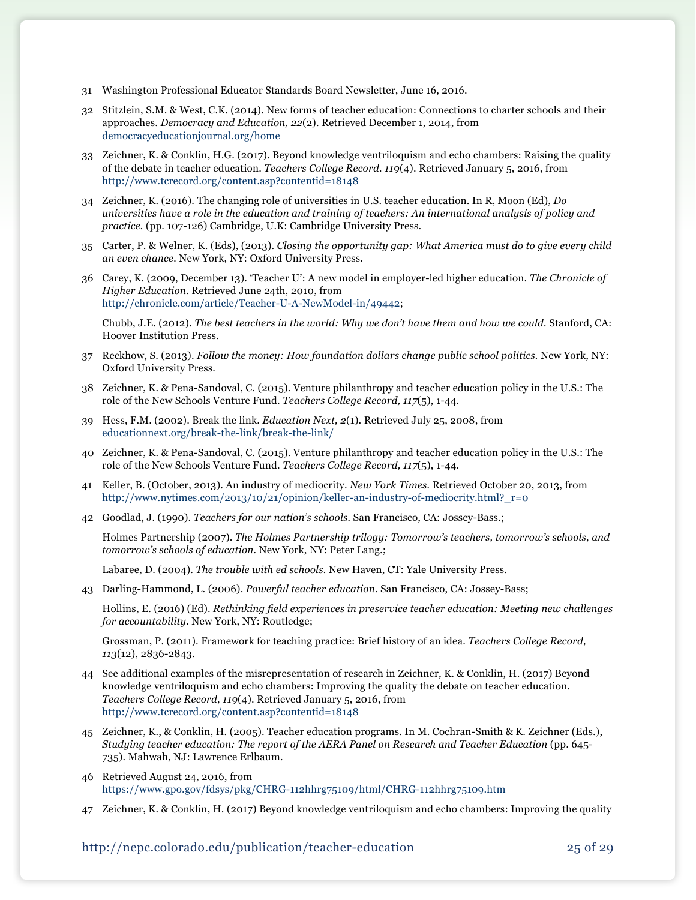- 31 Washington Professional Educator Standards Board Newsletter, June 16, 2016.
- 32 Stitzlein, S.M. & West, C.K. (2014). New forms of teacher education: Connections to charter schools and their approaches. *Democracy and Education, 22*(2). Retrieved December 1, 2014, from [democracyeducationjournal.org/home](http://democracyeducationjournal.org/home )
- 33 Zeichner, K. & Conklin, H.G. (2017). Beyond knowledge ventriloquism and echo chambers: Raising the quality of the debate in teacher education. *Teachers College Record. 119*(4). Retrieved January 5, 2016, from <http://www.tcrecord.org/content.asp?contentid=18148>
- 34 Zeichner, K. (2016). The changing role of universities in U.S. teacher education. In R, Moon (Ed), *Do universities have a role in the education and training of teachers: An international analysis of policy and practice.* (pp. 107-126) Cambridge, U.K: Cambridge University Press.
- 35 Carter, P. & Welner, K. (Eds), (2013). *Closing the opportunity gap: What America must do to give every child an even chance.* New York, NY: Oxford University Press.
- 36 Carey, K. (2009, December 13). 'Teacher U': A new model in employer-led higher education. *The Chronicle of Higher Education.* Retrieved June 24th, 2010, from [http://chronicle.com/article/Teacher-U-A-NewModel-in/49442;](http://chronicle.com/article/Teacher-U-A-NewModel-in/49442)

Chubb, J.E. (2012). *The best teachers in the world: Why we don't have them and how we could.* Stanford, CA: Hoover Institution Press.

- 37 Reckhow, S. (2013). *Follow the money: How foundation dollars change public school politics.* New York, NY: Oxford University Press.
- 38 Zeichner, K. & Pena-Sandoval, C. (2015). Venture philanthropy and teacher education policy in the U.S.: The role of the New Schools Venture Fund. *Teachers College Record, 117*(5), 1-44.
- 39 Hess, F.M. (2002). Break the link. *Education Next, 2*(1). Retrieved July 25, 2008, from [educationnext.org/break-the-link/break-the-link/](http://educationnext.org/break-the-link/break-the-link/)
- 40 Zeichner, K. & Pena-Sandoval, C. (2015). Venture philanthropy and teacher education policy in the U.S.: The role of the New Schools Venture Fund. *Teachers College Record, 117*(5), 1-44.
- 41 Keller, B. (October, 2013). An industry of mediocrity. *New York Times.* Retrieved October 20, 2013, from [http://www.nytimes.com/2013/10/21/opinion/keller-an-industry-of-mediocrity.html?\\_r=0](http://www.nytimes.com/2013/10/21/opinion/keller-an-industry-of-mediocrity.html?_r=0)
- 42 Goodlad, J. (1990). *Teachers for our nation's schools.* San Francisco, CA: Jossey-Bass.;

Holmes Partnership (2007). *The Holmes Partnership trilogy: Tomorrow's teachers, tomorrow's schools, and tomorrow's schools of education.* New York, NY: Peter Lang.;

Labaree, D. (2004). *The trouble with ed schools.* New Haven, CT: Yale University Press.

43 Darling-Hammond, L. (2006). *Powerful teacher education.* San Francisco, CA: Jossey-Bass;

Hollins, E. (2016) (Ed). *Rethinking field experiences in preservice teacher education: Meeting new challenges for accountability.* New York, NY: Routledge;

Grossman, P. (2011). Framework for teaching practice: Brief history of an idea. *Teachers College Record, 113*(12), 2836-2843.

- 44 See additional examples of the misrepresentation of research in Zeichner, K. & Conklin, H. (2017) Beyond knowledge ventriloquism and echo chambers: Improving the quality the debate on teacher education. *Teachers College Record, 119*(4). Retrieved January 5, 2016, from <http://www.tcrecord.org/content.asp?contentid=18148>
- 45 Zeichner, K., & Conklin, H. (2005). Teacher education programs. In M. Cochran-Smith & K. Zeichner (Eds.), *Studying teacher education: The report of the AERA Panel on Research and Teacher Education* (pp. 645- 735). Mahwah, NJ: Lawrence Erlbaum.
- 46 Retrieved August 24, 2016, from <https://www.gpo.gov/fdsys/pkg/CHRG-112hhrg75109/html/CHRG-112hhrg75109.htm>
- 47 Zeichner, K. & Conklin, H. (2017) Beyond knowledge ventriloquism and echo chambers: Improving the quality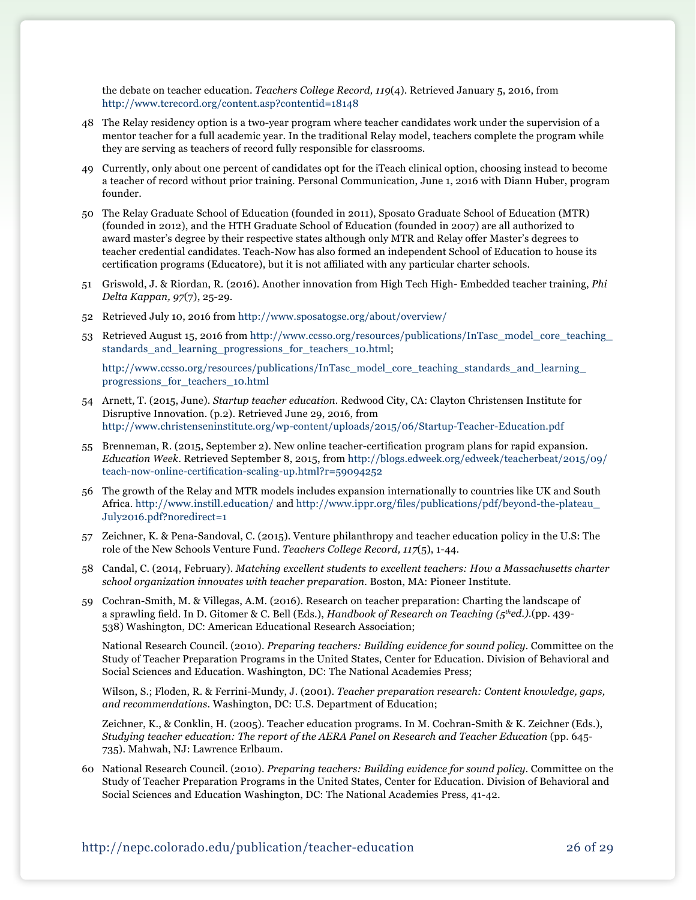the debate on teacher education. *Teachers College Record, 119*(4). Retrieved January 5, 2016, from <http://www.tcrecord.org/content.asp?contentid=18148>

- 48 The Relay residency option is a two-year program where teacher candidates work under the supervision of a mentor teacher for a full academic year. In the traditional Relay model, teachers complete the program while they are serving as teachers of record fully responsible for classrooms.
- 49 Currently, only about one percent of candidates opt for the iTeach clinical option, choosing instead to become a teacher of record without prior training. Personal Communication, June 1, 2016 with Diann Huber, program founder.
- 50 The Relay Graduate School of Education (founded in 2011), Sposato Graduate School of Education (MTR) (founded in 2012), and the HTH Graduate School of Education (founded in 2007) are all authorized to award master's degree by their respective states although only MTR and Relay offer Master's degrees to teacher credential candidates. Teach-Now has also formed an independent School of Education to house its certification programs (Educatore), but it is not affiliated with any particular charter schools.
- 51 Griswold, J. & Riordan, R. (2016). Another innovation from High Tech High- Embedded teacher training, *Phi Delta Kappan, 97*(7), 25-29.
- 52 Retrieved July 10, 2016 from <http://www.sposatogse.org/about/overview/>
- 53 Retrieved August 15, 2016 from [http://www.ccsso.org/resources/publications/InTasc\\_model\\_core\\_teaching\\_](http://www.ccsso.org/resources/publications/InTasc_model_core_teaching_standards_and_learning_progressions_for_teachers_10.html) [standards\\_and\\_learning\\_progressions\\_for\\_teachers\\_10.html;](http://www.ccsso.org/resources/publications/InTasc_model_core_teaching_standards_and_learning_progressions_for_teachers_10.html)

[http://www.ccsso.org/resources/publications/InTasc\\_model\\_core\\_teaching\\_standards\\_and\\_learning\\_](http://www.ccsso.org/resources/publications/InTasc_model_core_teaching_standards_and_learning_progressions_for_teachers_10.html ) [progressions\\_for\\_teachers\\_10.html](http://www.ccsso.org/resources/publications/InTasc_model_core_teaching_standards_and_learning_progressions_for_teachers_10.html )

- 54 Arnett, T. (2015, June). *Startup teacher education.* Redwood City, CA: Clayton Christensen Institute for Disruptive Innovation. (p.2). Retrieved June 29, 2016, from <http://www.christenseninstitute.org/wp-content/uploads/2015/06/Startup-Teacher-Education.pdf>
- 55 Brenneman, R. (2015, September 2). New online teacher-certification program plans for rapid expansion. *Education Week*. Retrieved September 8, 2015, from [http://blogs.edweek.org/edweek/teacherbeat/2015/09/](http://blogs.edweek.org/edweek/teacherbeat/2015/09/teach-now-online-certification-scaling-up.html?r=59094252) [teach-now-online-certification-scaling-up.html?r=59094252](http://blogs.edweek.org/edweek/teacherbeat/2015/09/teach-now-online-certification-scaling-up.html?r=59094252)
- 56 The growth of the Relay and MTR models includes expansion internationally to countries like UK and South Africa.<http://www.instill.education/>and [http://www.ippr.org/files/publications/pdf/beyond-the-plateau\\_](http://www.ippr.org/files/publications/pdf/beyond-the-plateau_July2016.pdf?noredirect=1) [July2016.pdf?noredirect=1](http://www.ippr.org/files/publications/pdf/beyond-the-plateau_July2016.pdf?noredirect=1)
- 57 Zeichner, K. & Pena-Sandoval, C. (2015). Venture philanthropy and teacher education policy in the U.S: The role of the New Schools Venture Fund. *Teachers College Record, 117*(5), 1-44.
- 58 Candal, C. (2014, February). *Matching excellent students to excellent teachers: How a Massachusetts charter school organization innovates with teacher preparation.* Boston, MA: Pioneer Institute.
- 59 Cochran-Smith, M. & Villegas, A.M. (2016). Research on teacher preparation: Charting the landscape of a sprawling field. In D. Gitomer & C. Bell (Eds.), *Handbook of Research on Teaching (5thed.).*(pp. 439- 538) Washington, DC: American Educational Research Association;

National Research Council. (2010). *Preparing teachers: Building evidence for sound policy.* Committee on the Study of Teacher Preparation Programs in the United States, Center for Education. Division of Behavioral and Social Sciences and Education. Washington, DC: The National Academies Press;

Wilson, S.; Floden, R. & Ferrini-Mundy, J. (2001). *Teacher preparation research: Content knowledge, gaps, and recommendations*. Washington, DC: U.S. Department of Education;

Zeichner, K., & Conklin, H. (2005). Teacher education programs. In M. Cochran-Smith & K. Zeichner (Eds.), *Studying teacher education: The report of the AERA Panel on Research and Teacher Education* (pp. 645- 735). Mahwah, NJ: Lawrence Erlbaum.

60 National Research Council. (2010). *Preparing teachers: Building evidence for sound policy.* Committee on the Study of Teacher Preparation Programs in the United States, Center for Education. Division of Behavioral and Social Sciences and Education Washington, DC: The National Academies Press, 41-42.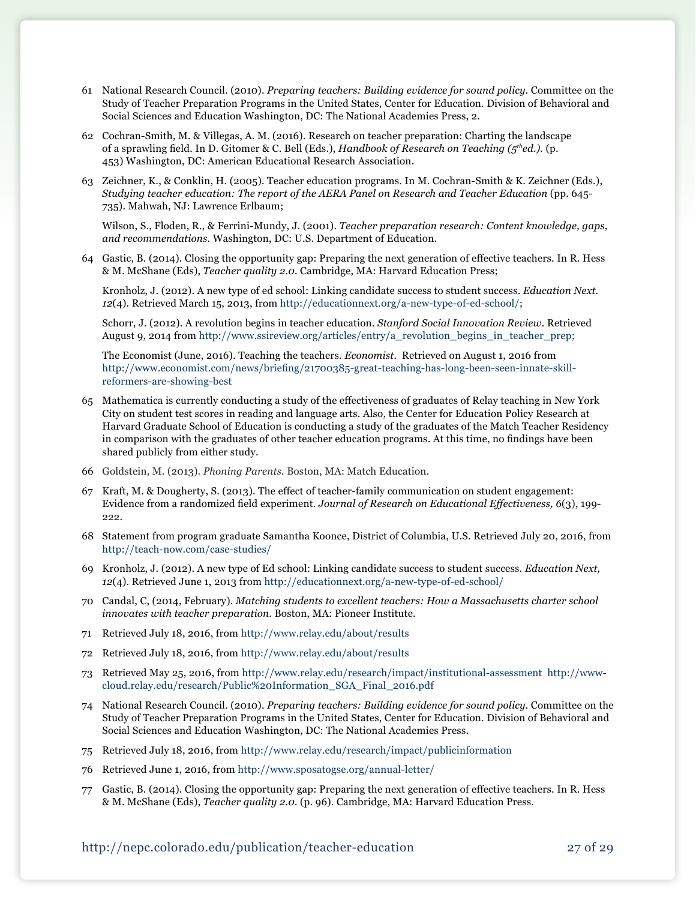- 61 National Research Council. (2010). *Preparing teachers: Building evidence for sound policy.* Committee on the Study of Teacher Preparation Programs in the United States, Center for Education. Division of Behavioral and Social Sciences and Education Washington, DC: The National Academies Press, 2.
- 62 Cochran-Smith, M. & Villegas, A. M. (2016). Research on teacher preparation: Charting the landscape of a sprawling field. In D. Gitomer & C. Bell (Eds.), *Handbook of Research on Teaching (5thed.).* (p. 453) Washington, DC: American Educational Research Association.
- 63 Zeichner, K., & Conklin, H. (2005). Teacher education programs. In M. Cochran-Smith & K. Zeichner (Eds.), *Studying teacher education: The report of the AERA Panel on Research and Teacher Education* (pp. 645- 735). Mahwah, NJ: Lawrence Erlbaum;

Wilson, S., Floden, R., & Ferrini-Mundy, J. (2001). *Teacher preparation research: Content knowledge, gaps, and recommendations*. Washington, DC: U.S. Department of Education.

64 Gastic, B. (2014). Closing the opportunity gap: Preparing the next generation of effective teachers. In R. Hess & M. McShane (Eds), *Teacher quality 2.0.* Cambridge, MA: Harvard Education Press;

Kronholz, J. (2012). A new type of ed school: Linking candidate success to student success. *Education Next. 12*(4). Retrieved March 15, 2013, from <http://educationnext.org/a-new-type-of-ed-school/>;

Schorr, J. (2012). A revolution begins in teacher education. *Stanford Social Innovation Review.* Retrieved August 9, 2014 from [http://www.ssireview.org/articles/entry/a\\_revolution\\_begins\\_in\\_teacher\\_prep](http://www.ssireview.org/articles/entry/a_revolution_begins_in_teacher_prep);

The Economist (June, 2016). Teaching the teachers. *Economist.* Retrieved on August 1, 2016 from [http://www.economist.com/news/briefing/21700385-great-teaching-has-long-been-seen-innate-skill](http://www.economist.com/news/briefing/21700385-great-teaching-has-long-been-seen-innate-skill-reformers-are-showing-best)[reformers-are-showing-best](http://www.economist.com/news/briefing/21700385-great-teaching-has-long-been-seen-innate-skill-reformers-are-showing-best)

- 65 Mathematica is currently conducting a study of the effectiveness of graduates of Relay teaching in New York City on student test scores in reading and language arts. Also, the Center for Education Policy Research at Harvard Graduate School of Education is conducting a study of the graduates of the Match Teacher Residency in comparison with the graduates of other teacher education programs. At this time, no findings have been shared publicly from either study.
- 66 Goldstein, M. (2013). *Phoning Parents.* Boston, MA: Match Education.
- 67 Kraft, M. & Dougherty, S. (2013). The effect of teacher-family communication on student engagement: Evidence from a randomized field experiment. *Journal of Research on Educational Effectiveness, 6*(3), 199- 222.
- 68 Statement from program graduate Samantha Koonce, District of Columbia, U.S. Retrieved July 20, 2016, from <http://teach-now.com/case-studies/>
- 69 Kronholz, J. (2012). A new type of Ed school: Linking candidate success to student success. *Education Next, 12*(4)*.* Retrieved June 1, 2013 from <http://educationnext.org/a-new-type-of-ed-school/>
- 70 Candal, C, (2014, February). *Matching students to excellent teachers: How a Massachusetts charter school innovates with teacher preparation.* Boston, MA: Pioneer Institute.
- 71 Retrieved July 18, 2016, from <http://www.relay.edu/about/results>
- 72 Retrieved July 18, 2016, from <http://www.relay.edu/about/results>
- 73 Retrieved May 25, 2016, from <http://www.relay.edu/research/impact/institutional-assessment> [http://www](http://www-cloud.relay.edu/research/Public%20Information_SGA_Final_2016.pdf)[cloud.relay.edu/research/Public%20Information\\_SGA\\_Final\\_2016.pdf](http://www-cloud.relay.edu/research/Public%20Information_SGA_Final_2016.pdf)
- 74 National Research Council. (2010). *Preparing teachers: Building evidence for sound policy.* Committee on the Study of Teacher Preparation Programs in the United States, Center for Education. Division of Behavioral and Social Sciences and Education Washington, DC: The National Academies Press.
- 75 Retrieved July 18, 2016, from <http://www.relay.edu/research/impact/publicinformation>
- 76 Retrieved June 1, 2016, from<http://www.sposatogse.org/annual-letter/>
- 77 Gastic, B. (2014). Closing the opportunity gap: Preparing the next generation of effective teachers. In R. Hess & M. McShane (Eds), *Teacher quality 2.0.* (p. 96). Cambridge, MA: Harvard Education Press.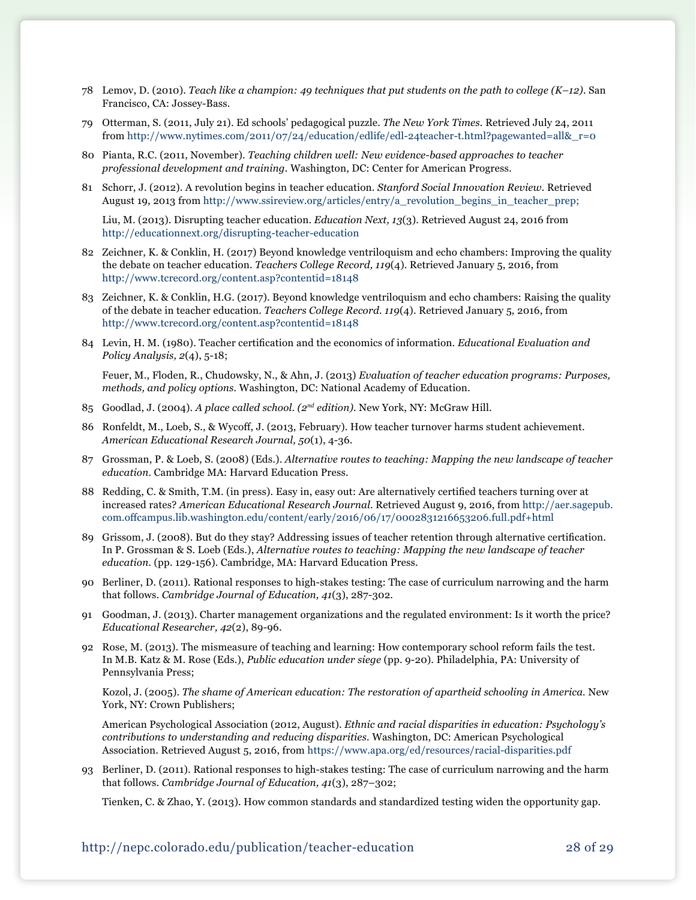- 78 Lemov, D. (2010). *Teach like a champion: 49 techniques that put students on the path to college (K–12).* San Francisco, CA: Jossey-Bass.
- 79 Otterman, S. (2011, July 21). Ed schools' pedagogical puzzle. *The New York Times.* Retrieved July 24, 2011 from [http://www.nytimes.com/2011/07/24/education/edlife/edl-24teacher-t.html?pagewanted=all&\\_r=0](http://www.nytimes.com/2011/07/24/education/edlife/edl-24teacher-t.html?pagewanted=all&_r=0)
- 80 Pianta, R.C. (2011, November). *Teaching children well: New evidence-based approaches to teacher professional development and training.* Washington, DC: Center for American Progress.
- 81 Schorr, J. (2012). A revolution begins in teacher education. *Stanford Social Innovation Review.* Retrieved August 19, 2013 from [http://www.ssireview.org/articles/entry/a\\_revolution\\_begins\\_in\\_teacher\\_prep;](http://www.ssireview.org/articles/entry/a_revolution_begins_in_teacher_prep)

Liu, M. (2013). Disrupting teacher education. *Education Next, 13*(3). Retrieved August 24, 2016 from <http://educationnext.org/disrupting-teacher-education>

- 82 Zeichner, K. & Conklin, H. (2017) Beyond knowledge ventriloquism and echo chambers: Improving the quality the debate on teacher education. *Teachers College Record, 119*(4). Retrieved January 5, 2016, from <http://www.tcrecord.org/content.asp?contentid=18148>
- 83 Zeichner, K. & Conklin, H.G. (2017). Beyond knowledge ventriloquism and echo chambers: Raising the quality of the debate in teacher education. *Teachers College Record. 119*(4). Retrieved January 5, 2016, from <http://www.tcrecord.org/content.asp?contentid=18148>
- 84 Levin, H. M. (1980). Teacher certification and the economics of information. *Educational Evaluation and Policy Analysis, 2*(4), 5-18;

Feuer, M., Floden, R., Chudowsky, N., & Ahn, J. (2013) *Evaluation of teacher education programs: Purposes, methods, and policy options.* Washington, DC: National Academy of Education.

- 85 Goodlad, J. (2004). *A place called school. (2nd edition).* New York, NY: McGraw Hill.
- 86 Ronfeldt, M., Loeb, S., & Wycoff, J. (2013, February). How teacher turnover harms student achievement. *American Educational Research Journal, 50*(1), 4-36.
- 87 Grossman, P. & Loeb, S. (2008) (Eds.). *Alternative routes to teaching: Mapping the new landscape of teacher education.* Cambridge MA: Harvard Education Press.
- 88 Redding, C. & Smith, T.M. (in press). Easy in, easy out: Are alternatively certified teachers turning over at increased rates? *American Educational Research Journal.* Retrieved August 9, 2016, from [http://aer.sagepub.](http://aer.sagepub.com.offcampus.lib.washington.edu/content/early/2016/06/17/0002831216653206.full.pdf+html) [com.offcampus.lib.washington.edu/content/early/2016/06/17/0002831216653206.full.pdf+html](http://aer.sagepub.com.offcampus.lib.washington.edu/content/early/2016/06/17/0002831216653206.full.pdf+html)
- 89 Grissom, J. (2008). But do they stay? Addressing issues of teacher retention through alternative certification. In P. Grossman & S. Loeb (Eds.), *Alternative routes to teaching: Mapping the new landscape of teacher education.* (pp. 129-156). Cambridge, MA: Harvard Education Press.
- 90 Berliner, D. (2011). Rational responses to high-stakes testing: The case of curriculum narrowing and the harm that follows. *Cambridge Journal of Education, 41*(3), 287-302.
- 91 Goodman, J. (2013). Charter management organizations and the regulated environment: Is it worth the price? *Educational Researcher, 42*(2), 89-96.
- 92 Rose, M. (2013). The mismeasure of teaching and learning: How contemporary school reform fails the test. In M.B. Katz & M. Rose (Eds.), *Public education under siege* (pp. 9-20). Philadelphia, PA: University of Pennsylvania Press;

Kozol, J. (2005). *The shame of American education: The restoration of apartheid schooling in America*. New York, NY: Crown Publishers;

American Psychological Association (2012, August). *Ethnic and racial disparities in education: Psychology's contributions to understanding and reducing disparities.* Washington, DC: American Psychological Association. Retrieved August 5, 2016, from <https://www.apa.org/ed/resources/racial-disparities.pdf>

93 Berliner, D. (2011). Rational responses to high-stakes testing: The case of curriculum narrowing and the harm that follows. *Cambridge Journal of Education, 41*(3), 287–302;

Tienken, C. & Zhao, Y. (2013). How common standards and standardized testing widen the opportunity gap.